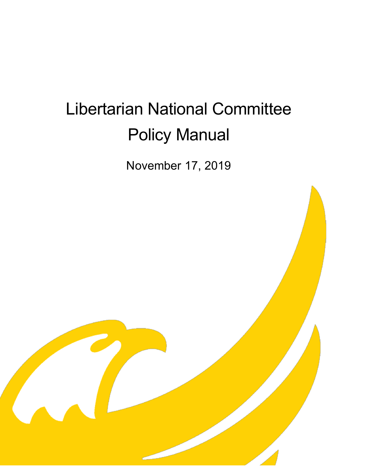# Libertarian National Committee Policy Manual

November 17, 2019

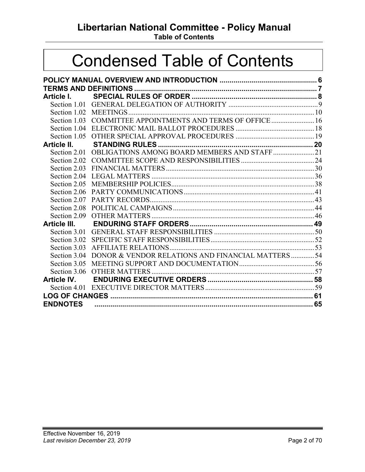## **Libertarian National Committee - Policy Manual**

**Table of Contents**

## Condensed Table of Contents

| Article I.          |                                                          |  |
|---------------------|----------------------------------------------------------|--|
|                     |                                                          |  |
|                     |                                                          |  |
| Section 1.03        | COMMITTEE APPOINTMENTS AND TERMS OF OFFICE  16           |  |
| Section 1.04        |                                                          |  |
|                     |                                                          |  |
| Article II.         |                                                          |  |
|                     | Section 2.01 OBLIGATIONS AMONG BOARD MEMBERS AND STAFF21 |  |
|                     |                                                          |  |
| Section 2.03        |                                                          |  |
| Section 2.04        |                                                          |  |
| Section 2.05        |                                                          |  |
| Section 2.06        |                                                          |  |
| Section 2.07        |                                                          |  |
| Section 2.08        |                                                          |  |
| Section 2.09        |                                                          |  |
| <b>Article III.</b> |                                                          |  |
|                     |                                                          |  |
| Section 3.02        |                                                          |  |
| Section 3.03        |                                                          |  |
| Section 3.04        | DONOR & VENDOR RELATIONS AND FINANCIAL MATTERS54         |  |
| Section 3.05        |                                                          |  |
| Section 3.06        |                                                          |  |
| <b>Article IV.</b>  |                                                          |  |
|                     |                                                          |  |
|                     |                                                          |  |
| <b>ENDNOTES</b>     |                                                          |  |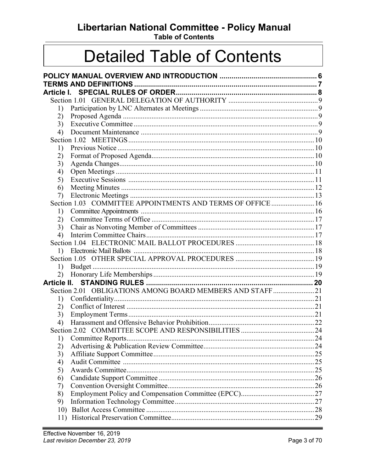## Libertarian National Committee - Policy Manual

**Table of Contents** 

## **Detailed Table of Contents**

| Article I.  |                                                            |  |
|-------------|------------------------------------------------------------|--|
|             |                                                            |  |
| 1)          |                                                            |  |
| 2)          |                                                            |  |
| 3)          |                                                            |  |
| 4)          |                                                            |  |
|             |                                                            |  |
| 1)          |                                                            |  |
| 2)          |                                                            |  |
| 3)          |                                                            |  |
| 4)          |                                                            |  |
| 5)          |                                                            |  |
| 6)          |                                                            |  |
| 7)          |                                                            |  |
|             | Section 1.03 COMMITTEE APPOINTMENTS AND TERMS OF OFFICE 16 |  |
| 1)          |                                                            |  |
| 2)          |                                                            |  |
| 3)          |                                                            |  |
| 4)          |                                                            |  |
|             |                                                            |  |
| 1)          |                                                            |  |
|             |                                                            |  |
| 1)          |                                                            |  |
| 2)          |                                                            |  |
| Article II. |                                                            |  |
|             | Section 2.01 OBLIGATIONS AMONG BOARD MEMBERS AND STAFF21   |  |
| 1)          |                                                            |  |
| 2)          |                                                            |  |
| 3)          |                                                            |  |
| 4)          |                                                            |  |
|             |                                                            |  |
| 1)          |                                                            |  |
| 2)          |                                                            |  |
| 3)          |                                                            |  |
| 4)          |                                                            |  |
| 5)          |                                                            |  |
| 6)          |                                                            |  |
|             |                                                            |  |
| 7)<br>8)    |                                                            |  |
| 9)          |                                                            |  |
|             |                                                            |  |
| 10)         |                                                            |  |
|             |                                                            |  |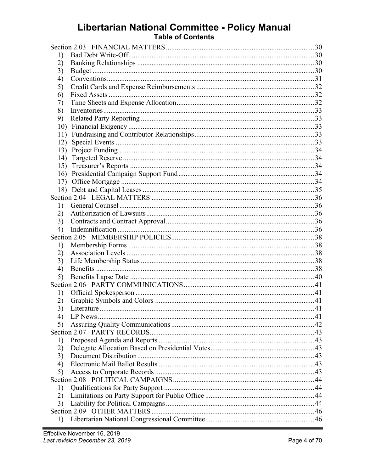# Libertarian National Committee - Policy Manual<br>Table of Contents

| 1)  |  |
|-----|--|
| 2)  |  |
| 3)  |  |
| 4)  |  |
| 5)  |  |
| 6)  |  |
| 7)  |  |
| 8)  |  |
| 9)  |  |
| 10) |  |
| 11) |  |
| 12) |  |
| 13) |  |
| 14) |  |
| 15) |  |
| 16) |  |
| 17) |  |
|     |  |
|     |  |
| 1)  |  |
| 2)  |  |
| 3)  |  |
| 4)  |  |
|     |  |
|     |  |
| 1)  |  |
| 2)  |  |
| 3)  |  |
| 4)  |  |
| 5)  |  |
|     |  |
| 1)  |  |
| 2)  |  |
| 3)  |  |
| 4)  |  |
| 5)  |  |
|     |  |
| 1)  |  |
| 2)  |  |
| 3)  |  |
| 4)  |  |
| 5)  |  |
|     |  |
| 1)  |  |
| 2)  |  |
| 3)  |  |
|     |  |
| 1)  |  |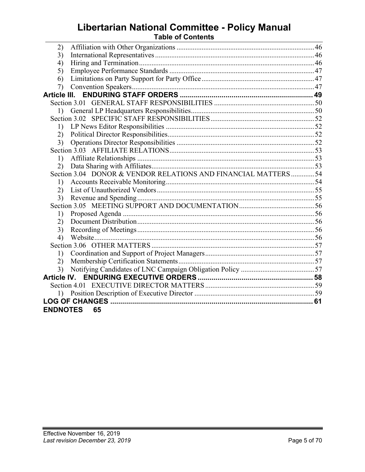## **Libertarian National Committee - Policy Manual Table of Contents**

| 2)               |                                                                |  |
|------------------|----------------------------------------------------------------|--|
| 3)               |                                                                |  |
| 4)               |                                                                |  |
| 5)               |                                                                |  |
| 6)               |                                                                |  |
| 7)               |                                                                |  |
| Article III.     |                                                                |  |
|                  |                                                                |  |
| $\left( \right)$ |                                                                |  |
|                  |                                                                |  |
| 1)               |                                                                |  |
| (2)              |                                                                |  |
| 3)               |                                                                |  |
|                  |                                                                |  |
| 1)               |                                                                |  |
| (2)              |                                                                |  |
|                  | Section 3.04 DONOR & VENDOR RELATIONS AND FINANCIAL MATTERS 54 |  |
| 1)               |                                                                |  |
| 2)               |                                                                |  |
| 3)               |                                                                |  |
|                  |                                                                |  |
| 1)               |                                                                |  |
| 2)               |                                                                |  |
| 3)               |                                                                |  |
| 4)               |                                                                |  |
|                  |                                                                |  |
| 1)               |                                                                |  |
| (2)              |                                                                |  |
|                  |                                                                |  |
|                  |                                                                |  |
|                  |                                                                |  |
| 1)               |                                                                |  |
|                  |                                                                |  |
| <b>ENDNOTES</b>  | 65                                                             |  |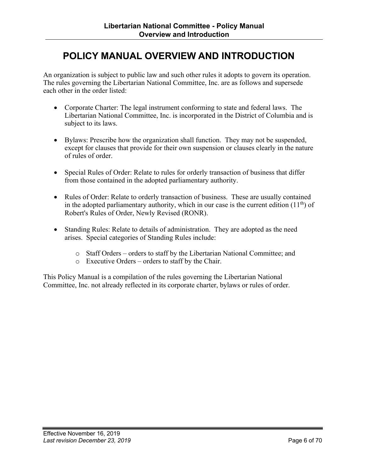## <span id="page-5-0"></span>**POLICY MANUAL OVERVIEW AND INTRODUCTION**

An organization is subject to public law and such other rules it adopts to govern its operation. The rules governing the Libertarian National Committee, Inc. are as follows and supersede each other in the order listed:

- Corporate Charter: The legal instrument conforming to state and federal laws. The Libertarian National Committee, Inc. is incorporated in the District of Columbia and is subject to its laws.
- Bylaws: Prescribe how the organization shall function. They may not be suspended, except for clauses that provide for their own suspension or clauses clearly in the nature of rules of order.
- Special Rules of Order: Relate to rules for orderly transaction of business that differ from those contained in the adopted parliamentary authority.
- Rules of Order: Relate to orderly transaction of business. These are usually contained in the adopted parliamentary authority, which in our case is the current edition  $(11<sup>th</sup>)$  of Robert's Rules of Order, Newly Revised (RONR).
- Standing Rules: Relate to details of administration. They are adopted as the need arises. Special categories of Standing Rules include:
	- o Staff Orders orders to staff by the Libertarian National Committee; and
	- o Executive Orders orders to staff by the Chair.

This Policy Manual is a compilation of the rules governing the Libertarian National Committee, Inc. not already reflected in its corporate charter, bylaws or rules of order.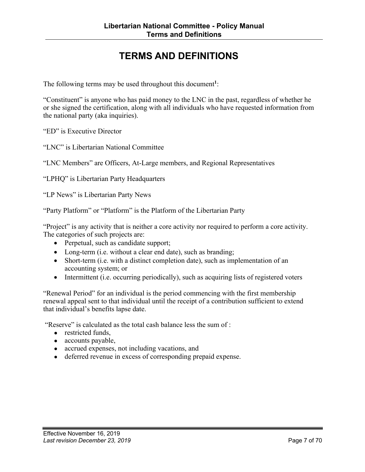## **TERMS AND DEFINITIONS**

<span id="page-6-0"></span>The following terms may be used throughout this document**<sup>1</sup>**:

"Constituent" is anyone who has paid money to the LNC in the past, regardless of whether he or she signed the certification, along with all individuals who have requested information from the national party (aka inquiries).

"ED" is Executive Director

"LNC" is Libertarian National Committee

"LNC Members" are Officers, At-Large members, and Regional Representatives

"LPHQ" is Libertarian Party Headquarters

"LP News" is Libertarian Party News

"Party Platform" or "Platform" is the Platform of the Libertarian Party

"Project" is any activity that is neither a core activity nor required to perform a core activity. The categories of such projects are:

- Perpetual, such as candidate support;
- Long-term (i.e. without a clear end date), such as branding;
- Short-term (i.e. with a distinct completion date), such as implementation of an accounting system; or
- Intermittent (i.e. occurring periodically), such as acquiring lists of registered voters

"Renewal Period" for an individual is the period commencing with the first membership renewal appeal sent to that individual until the receipt of a contribution sufficient to extend that individual's benefits lapse date.

"Reserve" is calculated as the total cash balance less the sum of :

- **●** restricted funds,
- **●** accounts payable,
- **●** accrued expenses, not including vacations, and
- **●** deferred revenue in excess of corresponding prepaid expense.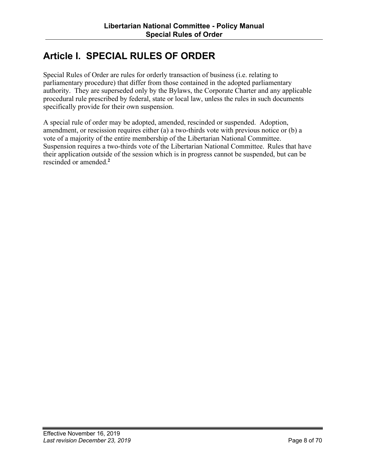## <span id="page-7-0"></span>**Article I. SPECIAL RULES OF ORDER**

Special Rules of Order are rules for orderly transaction of business (i.e. relating to parliamentary procedure) that differ from those contained in the adopted parliamentary authority. They are superseded only by the Bylaws, the Corporate Charter and any applicable procedural rule prescribed by federal, state or local law, unless the rules in such documents specifically provide for their own suspension.

A special rule of order may be adopted, amended, rescinded or suspended. Adoption, amendment, or rescission requires either (a) a two-thirds vote with previous notice or (b) a vote of a majority of the entire membership of the Libertarian National Committee. Suspension requires a two-thirds vote of the Libertarian National Committee. Rules that have their application outside of the session which is in progress cannot be suspended, but can be rescinded or amended. **2**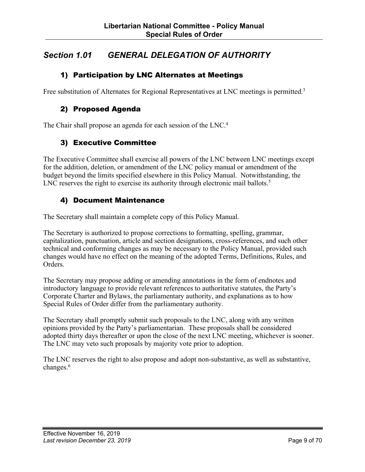## <span id="page-8-0"></span>*Section 1.01 GENERAL DELEGATION OF AUTHORITY*

#### 1) Participation by LNC Alternates at Meetings

Free substitution of Alternates for Regional Representatives at LNC meetings is permitted.<sup>3</sup>

#### 2) Proposed Agenda

The Chair shall propose an agenda for each session of the LNC.<sup>4</sup>

#### 3) Executive Committee

The Executive Committee shall exercise all powers of the LNC between LNC meetings except for the addition, deletion, or amendment of the LNC policy manual or amendment of the budget beyond the limits specified elsewhere in this Policy Manual. Notwithstanding, the LNC reserves the right to exercise its authority through electronic mail ballots.<sup>5</sup>

#### 4) Document Maintenance

The Secretary shall maintain a complete copy of this Policy Manual.

The Secretary is authorized to propose corrections to formatting, spelling, grammar, capitalization, punctuation, article and section designations, cross-references, and such other technical and conforming changes as may be necessary to the Policy Manual, provided such changes would have no effect on the meaning of the adopted Terms, Definitions, Rules, and Orders.

The Secretary may propose adding or amending annotations in the form of endnotes and introductory language to provide relevant references to authoritative statutes, the Party's Corporate Charter and Bylaws, the parliamentary authority, and explanations as to how Special Rules of Order differ from the parliamentary authority.

The Secretary shall promptly submit such proposals to the LNC, along with any written opinions provided by the Party's parliamentarian. These proposals shall be considered adopted thirty days thereafter or upon the close of the next LNC meeting, whichever is sooner. The LNC may veto such proposals by majority vote prior to adoption.

The LNC reserves the right to also propose and adopt non-substantive, as well as substantive, changes.<sup>6</sup>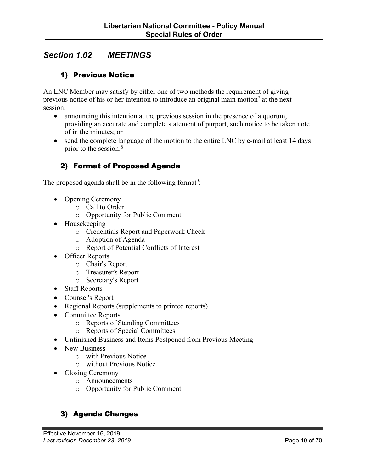## <span id="page-9-0"></span>*Section 1.02 MEETINGS*

#### 1) Previous Notice

An LNC Member may satisfy by either one of two methods the requirement of giving previous notice of his or her intention to introduce an original main motion<sup>7</sup> at the next session:

- announcing this intention at the previous session in the presence of a quorum, providing an accurate and complete statement of purport, such notice to be taken note of in the minutes; or
- send the complete language of the motion to the entire LNC by e-mail at least 14 days prior to the session. 8

#### 2) Format of Proposed Agenda

The proposed agenda shall be in the following format<sup>9</sup>:

- Opening Ceremony
	- o Call to Order
		- o Opportunity for Public Comment
- Housekeeping
	- o Credentials Report and Paperwork Check
	- o Adoption of Agenda
	- o Report of Potential Conflicts of Interest
- Officer Reports
	- o Chair's Report
	- o Treasurer's Report
	- o Secretary's Report
- Staff Reports
- Counsel's Report
- Regional Reports (supplements to printed reports)
- Committee Reports
	- o Reports of Standing Committees
	- o Reports of Special Committees
- Unfinished Business and Items Postponed from Previous Meeting
- New Business
	- o with Previous Notice
	- o without Previous Notice
- Closing Ceremony
	- o Announcements
	- o Opportunity for Public Comment

#### 3) Agenda Changes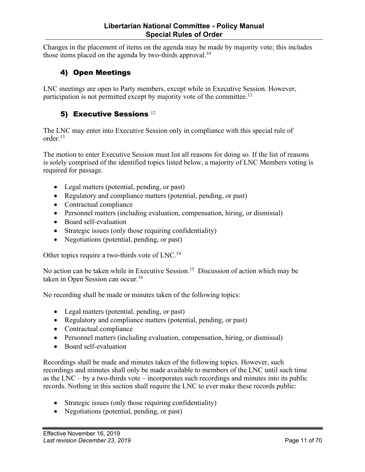<span id="page-10-0"></span>Changes in the placement of items on the agenda may be made by majority vote; this includes those items placed on the agenda by two-thirds approval.<sup>10</sup>

#### 4) Open Meetings

LNC meetings are open to Party members, except while in Executive Session. However, participation is not permitted except by majority vote of the committee.<sup>11</sup>

#### 5) Executive Sessions 12

The LNC may enter into Executive Session only in compliance with this special rule of order.13

The motion to enter Executive Session must list all reasons for doing so. If the list of reasons is solely comprised of the identified topics listed below, a majority of LNC Members voting is required for passage.

- Legal matters (potential, pending, or past)
- Regulatory and compliance matters (potential, pending, or past)
- Contractual compliance
- Personnel matters (including evaluation, compensation, hiring, or dismissal)
- Board self-evaluation
- Strategic issues (only those requiring confidentiality)
- Negotiations (potential, pending, or past)

Other topics require a two-thirds vote of LNC.14

No action can be taken while in Executive Session.<sup>15</sup> Discussion of action which may be taken in Open Session can occur.<sup>16</sup>

No recording shall be made or minutes taken of the following topics:

- Legal matters (potential, pending, or past)
- Regulatory and compliance matters (potential, pending, or past)
- Contractual compliance
- Personnel matters (including evaluation, compensation, hiring, or dismissal)
- Board self-evaluation

Recordings shall be made and minutes taken of the following topics. However, such recordings and minutes shall only be made available to members of the LNC until such time as the LNC – by a two-thirds vote – incorporates such recordings and minutes into its public records. Nothing in this section shall require the LNC to ever make these records public:

- Strategic issues (only those requiring confidentiality)
- Negotiations (potential, pending, or past)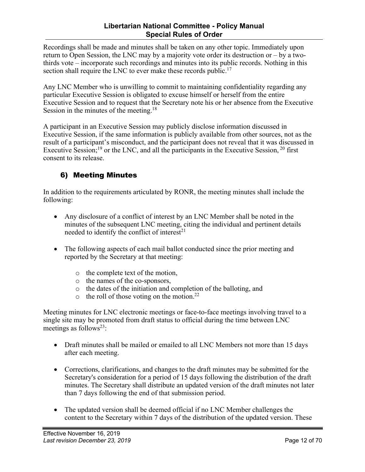<span id="page-11-0"></span>Recordings shall be made and minutes shall be taken on any other topic. Immediately upon return to Open Session, the LNC may by a majority vote order its destruction or – by a twothirds vote – incorporate such recordings and minutes into its public records. Nothing in this section shall require the LNC to ever make these records public.<sup>17</sup>

Any LNC Member who is unwilling to commit to maintaining confidentiality regarding any particular Executive Session is obligated to excuse himself or herself from the entire Executive Session and to request that the Secretary note his or her absence from the Executive Session in the minutes of the meeting.<sup>18</sup>

A participant in an Executive Session may publicly disclose information discussed in Executive Session, if the same information is publicly available from other sources, not as the result of a participant's misconduct, and the participant does not reveal that it was discussed in Executive Session;<sup>19</sup> or the LNC, and all the participants in the Executive Session,  $20$  first consent to its release.

#### 6) Meeting Minutes

In addition to the requirements articulated by RONR, the meeting minutes shall include the following:

- Any disclosure of a conflict of interest by an LNC Member shall be noted in the minutes of the subsequent LNC meeting, citing the individual and pertinent details needed to identify the conflict of interest $2<sup>1</sup>$
- The following aspects of each mail ballot conducted since the prior meeting and reported by the Secretary at that meeting:
	- o the complete text of the motion,
	- o the names of the co-sponsors,
	- o the dates of the initiation and completion of the balloting, and
	- $\circ$  the roll of those voting on the motion.<sup>22</sup>

Meeting minutes for LNC electronic meetings or face-to-face meetings involving travel to a single site may be promoted from draft status to official during the time between LNC meetings as follows<sup>23</sup>:

- Draft minutes shall be mailed or emailed to all LNC Members not more than 15 days after each meeting.
- Corrections, clarifications, and changes to the draft minutes may be submitted for the Secretary's consideration for a period of 15 days following the distribution of the draft minutes. The Secretary shall distribute an updated version of the draft minutes not later than 7 days following the end of that submission period.
- The updated version shall be deemed official if no LNC Member challenges the content to the Secretary within 7 days of the distribution of the updated version. These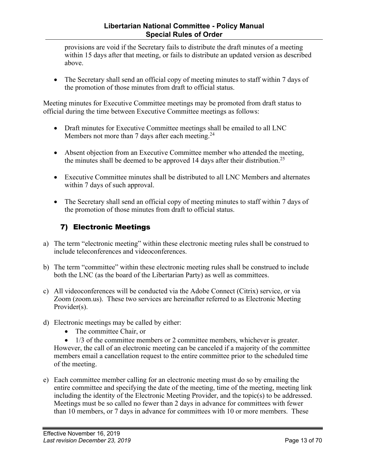<span id="page-12-0"></span>provisions are void if the Secretary fails to distribute the draft minutes of a meeting within 15 days after that meeting, or fails to distribute an updated version as described above.

• The Secretary shall send an official copy of meeting minutes to staff within 7 days of the promotion of those minutes from draft to official status.

Meeting minutes for Executive Committee meetings may be promoted from draft status to official during the time between Executive Committee meetings as follows:

- Draft minutes for Executive Committee meetings shall be emailed to all LNC Members not more than 7 days after each meeting.<sup>24</sup>
- Absent objection from an Executive Committee member who attended the meeting, the minutes shall be deemed to be approved 14 days after their distribution.<sup>25</sup>
- Executive Committee minutes shall be distributed to all LNC Members and alternates within 7 days of such approval.
- The Secretary shall send an official copy of meeting minutes to staff within 7 days of the promotion of those minutes from draft to official status.

#### 7) Electronic Meetings

- a) The term "electronic meeting" within these electronic meeting rules shall be construed to include teleconferences and videoconferences.
- b) The term "committee" within these electronic meeting rules shall be construed to include both the LNC (as the board of the Libertarian Party) as well as committees.
- c) All videoconferences will be conducted via the Adobe Connect (Citrix) service, or via Zoom (zoom.us). These two services are hereinafter referred to as Electronic Meeting Provider(s).
- d) Electronic meetings may be called by either:
	- The committee Chair, or

• 1/3 of the committee members or 2 committee members, whichever is greater. However, the call of an electronic meeting can be canceled if a majority of the committee members email a cancellation request to the entire committee prior to the scheduled time of the meeting.

e) Each committee member calling for an electronic meeting must do so by emailing the entire committee and specifying the date of the meeting, time of the meeting, meeting link including the identity of the Electronic Meeting Provider, and the topic(s) to be addressed. Meetings must be so called no fewer than 2 days in advance for committees with fewer than 10 members, or 7 days in advance for committees with 10 or more members. These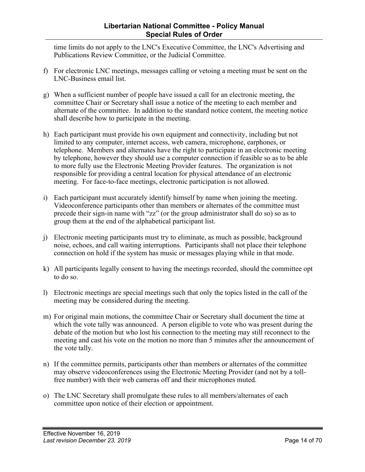time limits do not apply to the LNC's Executive Committee, the LNC's Advertising and Publications Review Committee, or the Judicial Committee.

- f) For electronic LNC meetings, messages calling or vetoing a meeting must be sent on the LNC-Business email list.
- g) When a sufficient number of people have issued a call for an electronic meeting, the committee Chair or Secretary shall issue a notice of the meeting to each member and alternate of the committee. In addition to the standard notice content, the meeting notice shall describe how to participate in the meeting.
- h) Each participant must provide his own equipment and connectivity, including but not limited to any computer, internet access, web camera, microphone, earphones, or telephone. Members and alternates have the right to participate in an electronic meeting by telephone, however they should use a computer connection if feasible so as to be able to more fully use the Electronic Meeting Provider features. The organization is not responsible for providing a central location for physical attendance of an electronic meeting. For face-to-face meetings, electronic participation is not allowed.
- i) Each participant must accurately identify himself by name when joining the meeting. Videoconference participants other than members or alternates of the committee must precede their sign-in name with "zz" (or the group administrator shall do so) so as to group them at the end of the alphabetical participant list.
- j) Electronic meeting participants must try to eliminate, as much as possible, background noise, echoes, and call waiting interruptions. Participants shall not place their telephone connection on hold if the system has music or messages playing while in that mode.
- k) All participants legally consent to having the meetings recorded, should the committee opt to do so.
- l) Electronic meetings are special meetings such that only the topics listed in the call of the meeting may be considered during the meeting.
- m) For original main motions, the committee Chair or Secretary shall document the time at which the vote tally was announced. A person eligible to vote who was present during the debate of the motion but who lost his connection to the meeting may still reconnect to the meeting and cast his vote on the motion no more than 5 minutes after the announcement of the vote tally.
- n) If the committee permits, participants other than members or alternates of the committee may observe videoconferences using the Electronic Meeting Provider (and not by a tollfree number) with their web cameras off and their microphones muted.
- o) The LNC Secretary shall promulgate these rules to all members/alternates of each committee upon notice of their election or appointment.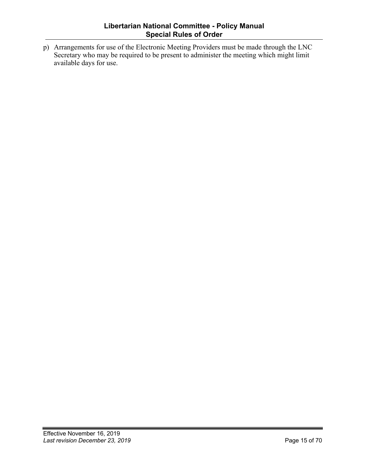p) Arrangements for use of the Electronic Meeting Providers must be made through the LNC Secretary who may be required to be present to administer the meeting which might limit available days for use.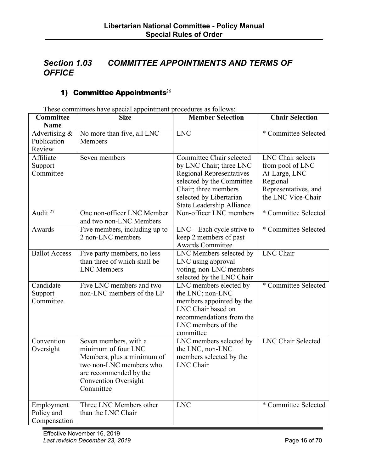## <span id="page-15-0"></span>*Section 1.03 COMMITTEE APPOINTMENTS AND TERMS OF OFFICE*

#### 1) Committee Appointments $^{26}$

These committees have special appointment procedures as follows:

| Committee                                | <b>Size</b>                                                                                                                                                                 | <b>Member Selection</b>                                                                                                                                                                             | <b>Chair Selection</b>                                                                                                  |
|------------------------------------------|-----------------------------------------------------------------------------------------------------------------------------------------------------------------------------|-----------------------------------------------------------------------------------------------------------------------------------------------------------------------------------------------------|-------------------------------------------------------------------------------------------------------------------------|
| <b>Name</b>                              |                                                                                                                                                                             |                                                                                                                                                                                                     |                                                                                                                         |
| Advertising &<br>Publication<br>Review   | No more than five, all LNC<br>Members                                                                                                                                       | <b>LNC</b>                                                                                                                                                                                          | * Committee Selected                                                                                                    |
| Affiliate<br>Support<br>Committee        | Seven members                                                                                                                                                               | Committee Chair selected<br>by LNC Chair; three LNC<br><b>Regional Representatives</b><br>selected by the Committee<br>Chair; three members<br>selected by Libertarian<br>State Leadership Alliance | <b>LNC</b> Chair selects<br>from pool of LNC<br>At-Large, LNC<br>Regional<br>Representatives, and<br>the LNC Vice-Chair |
| Audit <sup>27</sup>                      | One non-officer LNC Member<br>and two non-LNC Members                                                                                                                       | Non-officer LNC members                                                                                                                                                                             | * Committee Selected                                                                                                    |
| Awards                                   | Five members, including up to<br>2 non-LNC members                                                                                                                          | $LNC - Each cycle$ strive to<br>keep 2 members of past<br><b>Awards Committee</b>                                                                                                                   | * Committee Selected                                                                                                    |
| <b>Ballot Access</b>                     | Five party members, no less<br>than three of which shall be<br><b>LNC</b> Members                                                                                           | LNC Members selected by<br>LNC using approval<br>voting, non-LNC members<br>selected by the LNC Chair                                                                                               | <b>LNC</b> Chair                                                                                                        |
| Candidate<br>Support<br>Committee        | Five LNC members and two<br>non-LNC members of the LP                                                                                                                       | LNC members elected by<br>the LNC; non-LNC<br>members appointed by the<br>LNC Chair based on<br>recommendations from the<br>LNC members of the<br>committee                                         | * Committee Selected                                                                                                    |
| Convention<br>Oversight                  | Seven members, with a<br>minimum of four LNC<br>Members, plus a minimum of<br>two non-LNC members who<br>are recommended by the<br><b>Convention Oversight</b><br>Committee | LNC members selected by<br>the LNC, non-LNC<br>members selected by the<br><b>LNC</b> Chair                                                                                                          | <b>LNC Chair Selected</b>                                                                                               |
| Employment<br>Policy and<br>Compensation | Three LNC Members other<br>than the LNC Chair                                                                                                                               | <b>LNC</b>                                                                                                                                                                                          | * Committee Selected                                                                                                    |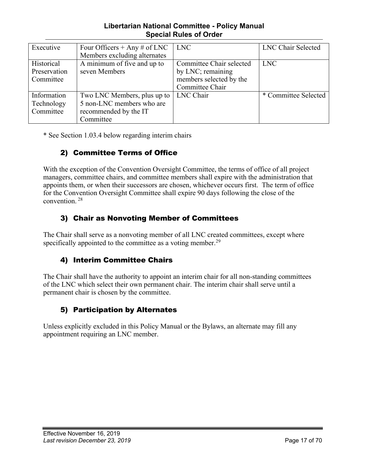#### **Libertarian National Committee - Policy Manual Special Rules of Order**

<span id="page-16-0"></span>

| Executive    | Four Officers + Any # of LNC | <b>LNC</b>               | LNC Chair Selected   |
|--------------|------------------------------|--------------------------|----------------------|
|              | Members excluding alternates |                          |                      |
| Historical   | A minimum of five and up to  | Committee Chair selected | <b>LNC</b>           |
| Preservation | seven Members                | by LNC; remaining        |                      |
| Committee    |                              | members selected by the  |                      |
|              |                              | Committee Chair          |                      |
| Information  | Two LNC Members, plus up to  | LNC Chair                | * Committee Selected |
| Technology   | 5 non-LNC members who are    |                          |                      |
| Committee    | recommended by the IT        |                          |                      |
|              | Committee                    |                          |                      |

\* See Section 1.03.4 below regarding interim chairs

#### 2) Committee Terms of Office

With the exception of the Convention Oversight Committee, the terms of office of all project managers, committee chairs, and committee members shall expire with the administration that appoints them, or when their successors are chosen, whichever occurs first. The term of office for the Convention Oversight Committee shall expire 90 days following the close of the convention. <sup>28</sup>

#### 3) Chair as Nonvoting Member of Committees

The Chair shall serve as a nonvoting member of all LNC created committees, except where specifically appointed to the committee as a voting member.<sup>29</sup>

#### 4) Interim Committee Chairs

The Chair shall have the authority to appoint an interim chair for all non-standing committees of the LNC which select their own permanent chair. The interim chair shall serve until a permanent chair is chosen by the committee.

#### 5) Participation by Alternates

Unless explicitly excluded in this Policy Manual or the Bylaws, an alternate may fill any appointment requiring an LNC member.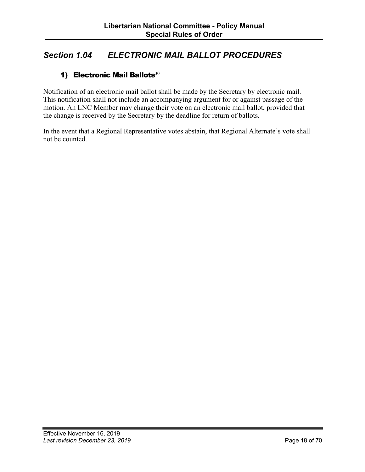## <span id="page-17-0"></span>*Section 1.04 ELECTRONIC MAIL BALLOT PROCEDURES*

#### 1) Electronic Mail Ballots<sup>30</sup>

Notification of an electronic mail ballot shall be made by the Secretary by electronic mail. This notification shall not include an accompanying argument for or against passage of the motion. An LNC Member may change their vote on an electronic mail ballot, provided that the change is received by the Secretary by the deadline for return of ballots.

In the event that a Regional Representative votes abstain, that Regional Alternate's vote shall not be counted.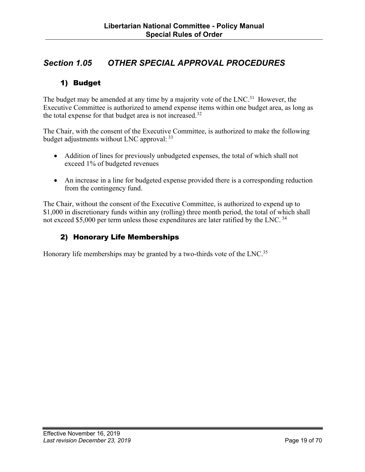## <span id="page-18-0"></span>*Section 1.05 OTHER SPECIAL APPROVAL PROCEDURES*

#### 1) Budget

The budget may be amended at any time by a majority vote of the  $LNC<sup>31</sup>$  However, the Executive Committee is authorized to amend expense items within one budget area, as long as the total expense for that budget area is not increased.32

The Chair, with the consent of the Executive Committee, is authorized to make the following budget adjustments without LNC approval: 33

- Addition of lines for previously unbudgeted expenses, the total of which shall not exceed 1% of budgeted revenues
- An increase in a line for budgeted expense provided there is a corresponding reduction from the contingency fund.

The Chair, without the consent of the Executive Committee, is authorized to expend up to \$1,000 in discretionary funds within any (rolling) three month period, the total of which shall not exceed \$5,000 per term unless those expenditures are later ratified by the LNC. <sup>34</sup>

#### 2) Honorary Life Memberships

Honorary life memberships may be granted by a two-thirds vote of the LNC.<sup>35</sup>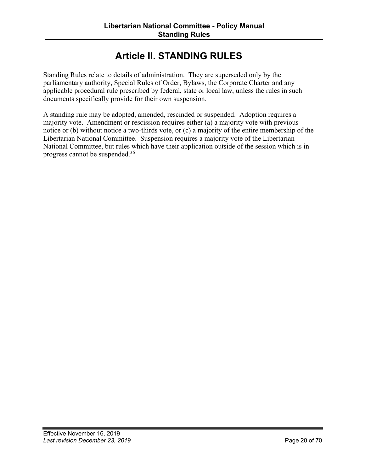## **Article II. STANDING RULES**

<span id="page-19-0"></span>Standing Rules relate to details of administration. They are superseded only by the parliamentary authority, Special Rules of Order, Bylaws, the Corporate Charter and any applicable procedural rule prescribed by federal, state or local law, unless the rules in such documents specifically provide for their own suspension.

A standing rule may be adopted, amended, rescinded or suspended. Adoption requires a majority vote. Amendment or rescission requires either (a) a majority vote with previous notice or (b) without notice a two-thirds vote, or (c) a majority of the entire membership of the Libertarian National Committee. Suspension requires a majority vote of the Libertarian National Committee, but rules which have their application outside of the session which is in progress cannot be suspended.<sup>36</sup>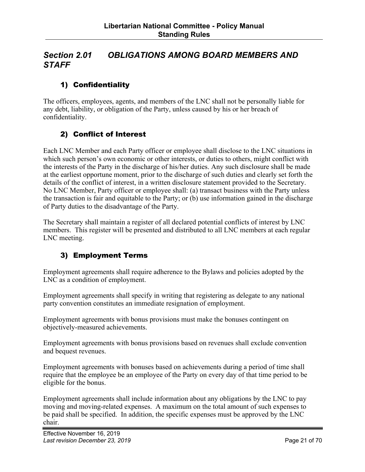## <span id="page-20-0"></span>*Section 2.01 OBLIGATIONS AMONG BOARD MEMBERS AND STAFF*

#### 1) Confidentiality

The officers, employees, agents, and members of the LNC shall not be personally liable for any debt, liability, or obligation of the Party, unless caused by his or her breach of confidentiality.

#### 2) Conflict of Interest

Each LNC Member and each Party officer or employee shall disclose to the LNC situations in which such person's own economic or other interests, or duties to others, might conflict with the interests of the Party in the discharge of his/her duties. Any such disclosure shall be made at the earliest opportune moment, prior to the discharge of such duties and clearly set forth the details of the conflict of interest, in a written disclosure statement provided to the Secretary. No LNC Member, Party officer or employee shall: (a) transact business with the Party unless the transaction is fair and equitable to the Party; or (b) use information gained in the discharge of Party duties to the disadvantage of the Party.

The Secretary shall maintain a register of all declared potential conflicts of interest by LNC members. This register will be presented and distributed to all LNC members at each regular LNC meeting.

#### 3) Employment Terms

Employment agreements shall require adherence to the Bylaws and policies adopted by the LNC as a condition of employment.

Employment agreements shall specify in writing that registering as delegate to any national party convention constitutes an immediate resignation of employment.

Employment agreements with bonus provisions must make the bonuses contingent on objectively-measured achievements.

Employment agreements with bonus provisions based on revenues shall exclude convention and bequest revenues.

Employment agreements with bonuses based on achievements during a period of time shall require that the employee be an employee of the Party on every day of that time period to be eligible for the bonus.

Employment agreements shall include information about any obligations by the LNC to pay moving and moving-related expenses. A maximum on the total amount of such expenses to be paid shall be specified. In addition, the specific expenses must be approved by the LNC chair.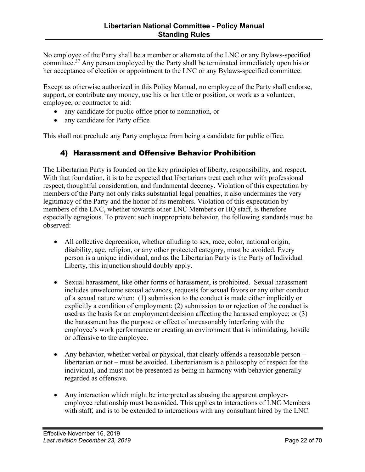<span id="page-21-0"></span>No employee of the Party shall be a member or alternate of the LNC or any Bylaws-specified committee.<sup>37</sup> Any person employed by the Party shall be terminated immediately upon his or her acceptance of election or appointment to the LNC or any Bylaws-specified committee.

Except as otherwise authorized in this Policy Manual, no employee of the Party shall endorse, support, or contribute any money, use his or her title or position, or work as a volunteer, employee, or contractor to aid:

- any candidate for public office prior to nomination, or
- any candidate for Party office

This shall not preclude any Party employee from being a candidate for public office.

#### 4) Harassment and Offensive Behavior Prohibition

The Libertarian Party is founded on the key principles of liberty, responsibility, and respect. With that foundation, it is to be expected that libertarians treat each other with professional respect, thoughtful consideration, and fundamental decency. Violation of this expectation by members of the Party not only risks substantial legal penalties, it also undermines the very legitimacy of the Party and the honor of its members. Violation of this expectation by members of the LNC, whether towards other LNC Members or HQ staff, is therefore especially egregious. To prevent such inappropriate behavior, the following standards must be observed:

- All collective deprecation, whether alluding to sex, race, color, national origin, disability, age, religion, or any other protected category, must be avoided. Every person is a unique individual, and as the Libertarian Party is the Party of Individual Liberty, this injunction should doubly apply.
- Sexual harassment, like other forms of harassment, is prohibited. Sexual harassment includes unwelcome sexual advances, requests for sexual favors or any other conduct of a sexual nature when: (1) submission to the conduct is made either implicitly or explicitly a condition of employment; (2) submission to or rejection of the conduct is used as the basis for an employment decision affecting the harassed employee; or (3) the harassment has the purpose or effect of unreasonably interfering with the employee's work performance or creating an environment that is intimidating, hostile or offensive to the employee.
- Any behavior, whether verbal or physical, that clearly offends a reasonable person libertarian or not – must be avoided. Libertarianism is a philosophy of respect for the individual, and must not be presented as being in harmony with behavior generally regarded as offensive.
- Any interaction which might be interpreted as abusing the apparent employeremployee relationship must be avoided. This applies to interactions of LNC Members with staff, and is to be extended to interactions with any consultant hired by the LNC.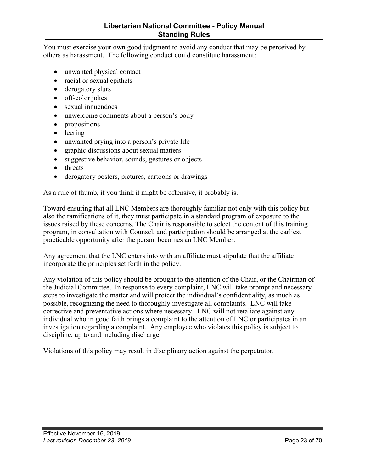#### **Libertarian National Committee - Policy Manual Standing Rules**

You must exercise your own good judgment to avoid any conduct that may be perceived by others as harassment. The following conduct could constitute harassment:

- unwanted physical contact
- racial or sexual epithets
- derogatory slurs
- off-color jokes
- sexual innuendoes
- unwelcome comments about a person's body
- propositions
- leering
- unwanted prying into a person's private life
- graphic discussions about sexual matters
- suggestive behavior, sounds, gestures or objects
- threats
- derogatory posters, pictures, cartoons or drawings

As a rule of thumb, if you think it might be offensive, it probably is.

Toward ensuring that all LNC Members are thoroughly familiar not only with this policy but also the ramifications of it, they must participate in a standard program of exposure to the issues raised by these concerns. The Chair is responsible to select the content of this training program, in consultation with Counsel, and participation should be arranged at the earliest practicable opportunity after the person becomes an LNC Member.

Any agreement that the LNC enters into with an affiliate must stipulate that the affiliate incorporate the principles set forth in the policy.

Any violation of this policy should be brought to the attention of the Chair, or the Chairman of the Judicial Committee. In response to every complaint, LNC will take prompt and necessary steps to investigate the matter and will protect the individual's confidentiality, as much as possible, recognizing the need to thoroughly investigate all complaints. LNC will take corrective and preventative actions where necessary. LNC will not retaliate against any individual who in good faith brings a complaint to the attention of LNC or participates in an investigation regarding a complaint. Any employee who violates this policy is subject to discipline, up to and including discharge.

Violations of this policy may result in disciplinary action against the perpetrator.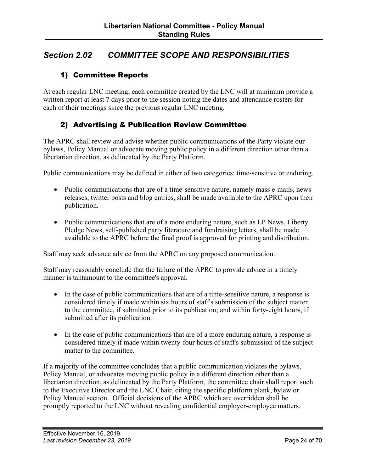## <span id="page-23-0"></span>*Section 2.02 COMMITTEE SCOPE AND RESPONSIBILITIES*

#### 1) Committee Reports

At each regular LNC meeting, each committee created by the LNC will at minimum provide a written report at least 7 days prior to the session noting the dates and attendance rosters for each of their meetings since the previous regular LNC meeting.

#### 2) Advertising & Publication Review Committee

The APRC shall review and advise whether public communications of the Party violate our bylaws, Policy Manual or advocate moving public policy in a different direction other than a libertarian direction, as delineated by the Party Platform.

Public communications may be defined in either of two categories: time-sensitive or enduring.

- Public communications that are of a time-sensitive nature, namely mass e-mails, news releases, twitter posts and blog entries, shall be made available to the APRC upon their publication.
- Public communications that are of a more enduring nature, such as LP News, Liberty Pledge News, self-published party literature and fundraising letters, shall be made available to the APRC before the final proof is approved for printing and distribution.

Staff may seek advance advice from the APRC on any proposed communication.

Staff may reasonably conclude that the failure of the APRC to provide advice in a timely manner is tantamount to the committee's approval.

- In the case of public communications that are of a time-sensitive nature, a response is considered timely if made within six hours of staff's submission of the subject matter to the committee, if submitted prior to its publication; and within forty-eight hours, if submitted after its publication.
- In the case of public communications that are of a more enduring nature, a response is considered timely if made within twenty-four hours of staff's submission of the subject matter to the committee.

If a majority of the committee concludes that a public communication violates the bylaws, Policy Manual, or advocates moving public policy in a different direction other than a libertarian direction, as delineated by the Party Platform, the committee chair shall report such to the Executive Director and the LNC Chair, citing the specific platform plank, bylaw or Policy Manual section. Official decisions of the APRC which are overridden shall be promptly reported to the LNC without revealing confidential employer-employee matters.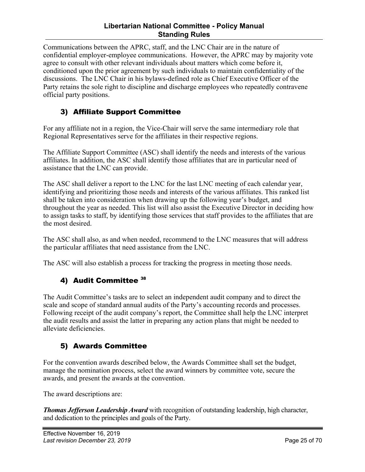#### **Libertarian National Committee - Policy Manual Standing Rules**

<span id="page-24-0"></span>Communications between the APRC, staff, and the LNC Chair are in the nature of confidential employer-employee communications. However, the APRC may by majority vote agree to consult with other relevant individuals about matters which come before it, conditioned upon the prior agreement by such individuals to maintain confidentiality of the discussions. The LNC Chair in his bylaws-defined role as Chief Executive Officer of the Party retains the sole right to discipline and discharge employees who repeatedly contravene official party positions.

#### 3) Affiliate Support Committee

For any affiliate not in a region, the Vice-Chair will serve the same intermediary role that Regional Representatives serve for the affiliates in their respective regions.

The Affiliate Support Committee (ASC) shall identify the needs and interests of the various affiliates. In addition, the ASC shall identify those affiliates that are in particular need of assistance that the LNC can provide.

The ASC shall deliver a report to the LNC for the last LNC meeting of each calendar year, identifying and prioritizing those needs and interests of the various affiliates. This ranked list shall be taken into consideration when drawing up the following year's budget, and throughout the year as needed. This list will also assist the Executive Director in deciding how to assign tasks to staff, by identifying those services that staff provides to the affiliates that are the most desired.

The ASC shall also, as and when needed, recommend to the LNC measures that will address the particular affiliates that need assistance from the LNC.

The ASC will also establish a process for tracking the progress in meeting those needs.

#### 4) Audit Committee 38

The Audit Committee's tasks are to select an independent audit company and to direct the scale and scope of standard annual audits of the Party's accounting records and processes. Following receipt of the audit company's report, the Committee shall help the LNC interpret the audit results and assist the latter in preparing any action plans that might be needed to alleviate deficiencies.

#### 5) Awards Committee

For the convention awards described below, the Awards Committee shall set the budget, manage the nomination process, select the award winners by committee vote, secure the awards, and present the awards at the convention.

The award descriptions are:

*Thomas Jefferson Leadership Award* with recognition of outstanding leadership, high character, and dedication to the principles and goals of the Party.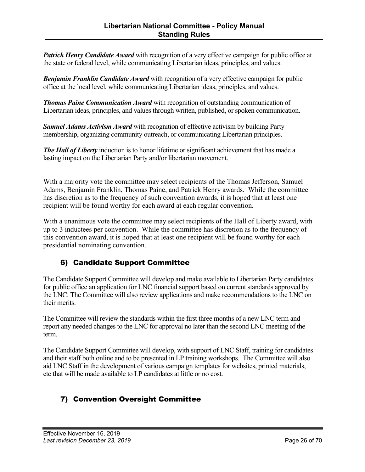<span id="page-25-0"></span>*Patrick Henry Candidate Award* with recognition of a very effective campaign for public office at the state or federal level, while communicating Libertarian ideas, principles, and values.

*Benjamin Franklin Candidate Award* with recognition of a very effective campaign for public office at the local level, while communicating Libertarian ideas, principles, and values.

*Thomas Paine Communication Award* with recognition of outstanding communication of Libertarian ideas, principles, and values through written, published, or spoken communication.

*Samuel Adams Activism Award* with recognition of effective activism by building Party membership, organizing community outreach, or communicating Libertarian principles.

*The Hall of Liberty* induction is to honor lifetime or significant achievement that has made a lasting impact on the Libertarian Party and/or libertarian movement.

With a majority vote the committee may select recipients of the Thomas Jefferson, Samuel Adams, Benjamin Franklin, Thomas Paine, and Patrick Henry awards. While the committee has discretion as to the frequency of such convention awards, it is hoped that at least one recipient will be found worthy for each award at each regular convention.

With a unanimous vote the committee may select recipients of the Hall of Liberty award, with up to 3 inductees per convention. While the committee has discretion as to the frequency of this convention award, it is hoped that at least one recipient will be found worthy for each presidential nominating convention.

#### 6) Candidate Support Committee

The Candidate Support Committee will develop and make available to Libertarian Party candidates for public office an application for LNC financial support based on current standards approved by the LNC. The Committee will also review applications and make recommendations to the LNC on their merits.

The Committee will review the standards within the first three months of a new LNC term and report any needed changes to the LNC for approval no later than the second LNC meeting of the term.

The Candidate Support Committee will develop, with support of LNC Staff, training for candidates and their staff both online and to be presented in LP training workshops. The Committee will also aid LNC Staff in the development of various campaign templates for websites, printed materials, etc that will be made available to LP candidates at little or no cost.

#### 7) Convention Oversight Committee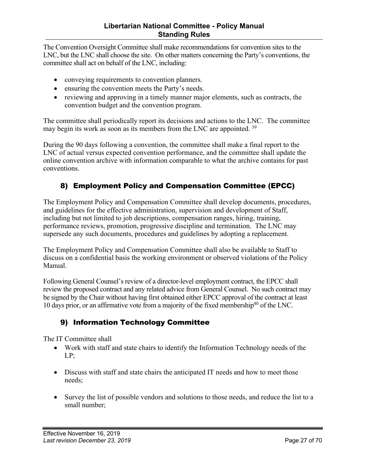<span id="page-26-0"></span>The Convention Oversight Committee shall make recommendations for convention sites to the LNC, but the LNC shall choose the site. On other matters concerning the Party's conventions, the committee shall act on behalf of the LNC, including:

- conveying requirements to convention planners.
- ensuring the convention meets the Party's needs.
- reviewing and approving in a timely manner major elements, such as contracts, the convention budget and the convention program.

The committee shall periodically report its decisions and actions to the LNC. The committee may begin its work as soon as its members from the LNC are appointed. <sup>39</sup>

During the 90 days following a convention, the committee shall make a final report to the LNC of actual versus expected convention performance, and the committee shall update the online convention archive with information comparable to what the archive contains for past conventions.

#### 8) Employment Policy and Compensation Committee (EPCC)

The Employment Policy and Compensation Committee shall develop documents, procedures, and guidelines for the effective administration, supervision and development of Staff, including but not limited to job descriptions, compensation ranges, hiring, training, performance reviews, promotion, progressive discipline and termination. The LNC may supersede any such documents, procedures and guidelines by adopting a replacement.

The Employment Policy and Compensation Committee shall also be available to Staff to discuss on a confidential basis the working environment or observed violations of the Policy Manual.

Following General Counsel's review of a director-level employment contract, the EPCC shall review the proposed contract and any related advice from General Counsel. No such contract may be signed by the Chair without having first obtained either EPCC approval of the contract at least 10 days prior, or an affirmative vote from a majority of the fixed membership<sup>40</sup> of the LNC.

#### 9) Information Technology Committee

The IT Committee shall

- Work with staff and state chairs to identify the Information Technology needs of the LP;
- Discuss with staff and state chairs the anticipated IT needs and how to meet those needs;
- Survey the list of possible vendors and solutions to those needs, and reduce the list to a small number;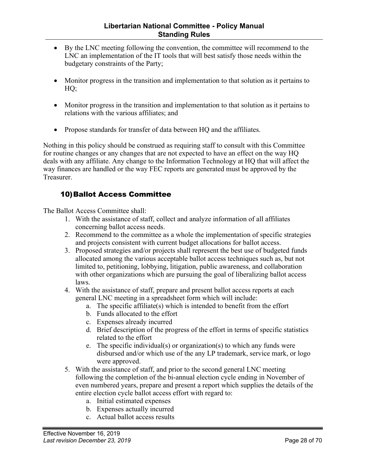- <span id="page-27-0"></span>• By the LNC meeting following the convention, the committee will recommend to the LNC an implementation of the IT tools that will best satisfy those needs within the budgetary constraints of the Party;
- Monitor progress in the transition and implementation to that solution as it pertains to HQ;
- Monitor progress in the transition and implementation to that solution as it pertains to relations with the various affiliates; and
- Propose standards for transfer of data between HQ and the affiliates.

Nothing in this policy should be construed as requiring staff to consult with this Committee for routine changes or any changes that are not expected to have an effect on the way HQ deals with any affiliate. Any change to the Information Technology at HQ that will affect the way finances are handled or the way FEC reports are generated must be approved by the Treasurer.

#### 10)Ballot Access Committee

The Ballot Access Committee shall:

- 1. With the assistance of staff, collect and analyze information of all affiliates concerning ballot access needs.
- 2. Recommend to the committee as a whole the implementation of specific strategies and projects consistent with current budget allocations for ballot access.
- 3. Proposed strategies and/or projects shall represent the best use of budgeted funds allocated among the various acceptable ballot access techniques such as, but not limited to, petitioning, lobbying, litigation, public awareness, and collaboration with other organizations which are pursuing the goal of liberalizing ballot access laws.
- 4. With the assistance of staff, prepare and present ballot access reports at each general LNC meeting in a spreadsheet form which will include:
	- a. The specific affiliate(s) which is intended to benefit from the effort
	- b. Funds allocated to the effort
	- c. Expenses already incurred
	- d. Brief description of the progress of the effort in terms of specific statistics related to the effort
	- e. The specific individual(s) or organization(s) to which any funds were disbursed and/or which use of the any LP trademark, service mark, or logo were approved.
- 5. With the assistance of staff, and prior to the second general LNC meeting following the completion of the bi-annual election cycle ending in November of even numbered years, prepare and present a report which supplies the details of the entire election cycle ballot access effort with regard to:
	- a. Initial estimated expenses
	- b. Expenses actually incurred
	- c. Actual ballot access results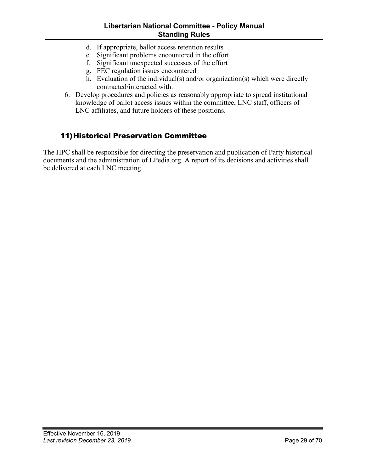#### **Libertarian National Committee - Policy Manual Standing Rules**

- <span id="page-28-0"></span>d. If appropriate, ballot access retention results
- e. Significant problems encountered in the effort
- f. Significant unexpected successes of the effort
- g. FEC regulation issues encountered
- h. Evaluation of the individual(s) and/or organization(s) which were directly contracted/interacted with.
- 6. Develop procedures and policies as reasonably appropriate to spread institutional knowledge of ballot access issues within the committee, LNC staff, officers of LNC affiliates, and future holders of these positions.

#### 11)Historical Preservation Committee

The HPC shall be responsible for directing the preservation and publication of Party historical documents and the administration of LPedia.org. A report of its decisions and activities shall be delivered at each LNC meeting.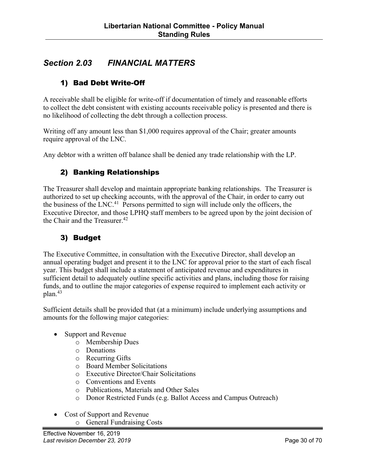## <span id="page-29-0"></span>*Section 2.03 FINANCIAL MATTERS*

#### 1) Bad Debt Write-Off

A receivable shall be eligible for write-off if documentation of timely and reasonable efforts to collect the debt consistent with existing accounts receivable policy is presented and there is no likelihood of collecting the debt through a collection process.

Writing off any amount less than \$1,000 requires approval of the Chair; greater amounts require approval of the LNC.

Any debtor with a written off balance shall be denied any trade relationship with the LP.

#### 2) Banking Relationships

The Treasurer shall develop and maintain appropriate banking relationships. The Treasurer is authorized to set up checking accounts, with the approval of the Chair, in order to carry out the business of the LNC.<sup>41</sup> Persons permitted to sign will include only the officers, the Executive Director, and those LPHQ staff members to be agreed upon by the joint decision of the Chair and the Treasurer.<sup>42</sup>

#### 3) Budget

The Executive Committee, in consultation with the Executive Director, shall develop an annual operating budget and present it to the LNC for approval prior to the start of each fiscal year. This budget shall include a statement of anticipated revenue and expenditures in sufficient detail to adequately outline specific activities and plans, including those for raising funds, and to outline the major categories of expense required to implement each activity or plan.43

Sufficient details shall be provided that (at a minimum) include underlying assumptions and amounts for the following major categories:

- Support and Revenue
	- o Membership Dues
	- o Donations
	- o Recurring Gifts
	- o Board Member Solicitations
	- o Executive Director/Chair Solicitations
	- o Conventions and Events
	- o Publications, Materials and Other Sales
	- o Donor Restricted Funds (e.g. Ballot Access and Campus Outreach)
- Cost of Support and Revenue
	- o General Fundraising Costs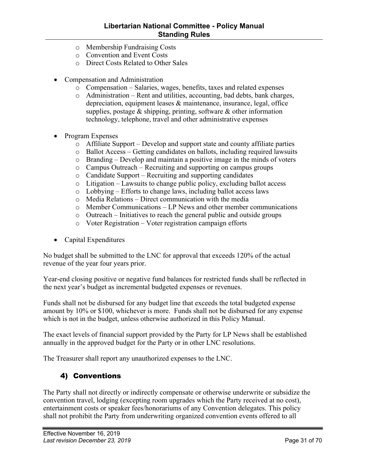- <span id="page-30-0"></span>o Membership Fundraising Costs
- o Convention and Event Costs
- o Direct Costs Related to Other Sales
- Compensation and Administration
	- o Compensation Salaries, wages, benefits, taxes and related expenses
	- o Administration Rent and utilities, accounting, bad debts, bank charges, depreciation, equipment leases & maintenance, insurance, legal, office supplies, postage  $&$  shipping, printing, software  $&$  other information technology, telephone, travel and other administrative expenses
- Program Expenses
	- o Affiliate Support Develop and support state and county affiliate parties
	- o Ballot Access Getting candidates on ballots, including required lawsuits
	- o Branding Develop and maintain a positive image in the minds of voters
	- o Campus Outreach Recruiting and supporting on campus groups
	- o Candidate Support Recruiting and supporting candidates
	- o Litigation Lawsuits to change public policy, excluding ballot access
	- o Lobbying Efforts to change laws, including ballot access laws
	- o Media Relations Direct communication with the media
	- o Member Communications LP News and other member communications
	- o Outreach Initiatives to reach the general public and outside groups
	- o Voter Registration Voter registration campaign efforts
- Capital Expenditures

No budget shall be submitted to the LNC for approval that exceeds 120% of the actual revenue of the year four years prior.

Year-end closing positive or negative fund balances for restricted funds shall be reflected in the next year's budget as incremental budgeted expenses or revenues.

Funds shall not be disbursed for any budget line that exceeds the total budgeted expense amount by 10% or \$100, whichever is more. Funds shall not be disbursed for any expense which is not in the budget, unless otherwise authorized in this Policy Manual.

The exact levels of financial support provided by the Party for LP News shall be established annually in the approved budget for the Party or in other LNC resolutions.

The Treasurer shall report any unauthorized expenses to the LNC.

#### 4) Conventions

The Party shall not directly or indirectly compensate or otherwise underwrite or subsidize the convention travel, lodging (excepting room upgrades which the Party received at no cost), entertainment costs or speaker fees/honorariums of any Convention delegates. This policy shall not prohibit the Party from underwriting organized convention events offered to all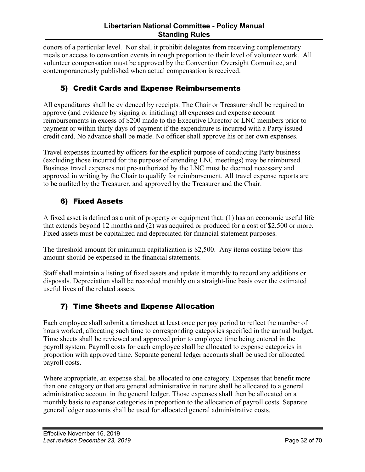<span id="page-31-0"></span>donors of a particular level. Nor shall it prohibit delegates from receiving complementary meals or access to convention events in rough proportion to their level of volunteer work. All volunteer compensation must be approved by the Convention Oversight Committee, and contemporaneously published when actual compensation is received.

#### 5) Credit Cards and Expense Reimbursements

All expenditures shall be evidenced by receipts. The Chair or Treasurer shall be required to approve (and evidence by signing or initialing) all expenses and expense account reimbursements in excess of \$200 made to the Executive Director or LNC members prior to payment or within thirty days of payment if the expenditure is incurred with a Party issued credit card. No advance shall be made. No officer shall approve his or her own expenses.

Travel expenses incurred by officers for the explicit purpose of conducting Party business (excluding those incurred for the purpose of attending LNC meetings) may be reimbursed. Business travel expenses not pre-authorized by the LNC must be deemed necessary and approved in writing by the Chair to qualify for reimbursement. All travel expense reports are to be audited by the Treasurer, and approved by the Treasurer and the Chair.

#### 6) Fixed Assets

A fixed asset is defined as a unit of property or equipment that: (1) has an economic useful life that extends beyond 12 months and (2) was acquired or produced for a cost of \$2,500 or more. Fixed assets must be capitalized and depreciated for financial statement purposes.

The threshold amount for minimum capitalization is \$2,500. Any items costing below this amount should be expensed in the financial statements.

Staff shall maintain a listing of fixed assets and update it monthly to record any additions or disposals. Depreciation shall be recorded monthly on a straight-line basis over the estimated useful lives of the related assets.

#### 7) Time Sheets and Expense Allocation

Each employee shall submit a timesheet at least once per pay period to reflect the number of hours worked, allocating such time to corresponding categories specified in the annual budget. Time sheets shall be reviewed and approved prior to employee time being entered in the payroll system. Payroll costs for each employee shall be allocated to expense categories in proportion with approved time. Separate general ledger accounts shall be used for allocated payroll costs.

Where appropriate, an expense shall be allocated to one category. Expenses that benefit more than one category or that are general administrative in nature shall be allocated to a general administrative account in the general ledger. Those expenses shall then be allocated on a monthly basis to expense categories in proportion to the allocation of payroll costs. Separate general ledger accounts shall be used for allocated general administrative costs.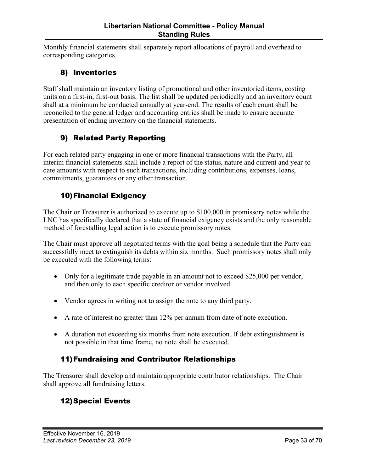<span id="page-32-0"></span>Monthly financial statements shall separately report allocations of payroll and overhead to corresponding categories.

#### 8) Inventories

Staff shall maintain an inventory listing of promotional and other inventoried items, costing units on a first-in, first-out basis. The list shall be updated periodically and an inventory count shall at a minimum be conducted annually at year-end. The results of each count shall be reconciled to the general ledger and accounting entries shall be made to ensure accurate presentation of ending inventory on the financial statements.

#### 9) Related Party Reporting

For each related party engaging in one or more financial transactions with the Party, all interim financial statements shall include a report of the status, nature and current and year-todate amounts with respect to such transactions, including contributions, expenses, loans, commitments, guarantees or any other transaction.

#### 10)Financial Exigency

The Chair or Treasurer is authorized to execute up to \$100,000 in promissory notes while the LNC has specifically declared that a state of financial exigency exists and the only reasonable method of forestalling legal action is to execute promissory notes.

The Chair must approve all negotiated terms with the goal being a schedule that the Party can successfully meet to extinguish its debts within six months. Such promissory notes shall only be executed with the following terms:

- Only for a legitimate trade payable in an amount not to exceed \$25,000 per vendor, and then only to each specific creditor or vendor involved.
- Vendor agrees in writing not to assign the note to any third party.
- A rate of interest no greater than 12% per annum from date of note execution.
- A duration not exceeding six months from note execution. If debt extinguishment is not possible in that time frame, no note shall be executed.

#### 11)Fundraising and Contributor Relationships

The Treasurer shall develop and maintain appropriate contributor relationships. The Chair shall approve all fundraising letters.

#### 12)Special Events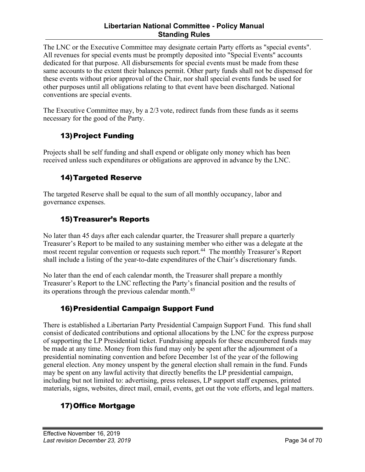#### **Libertarian National Committee - Policy Manual Standing Rules**

<span id="page-33-0"></span>The LNC or the Executive Committee may designate certain Party efforts as "special events". All revenues for special events must be promptly deposited into "Special Events" accounts dedicated for that purpose. All disbursements for special events must be made from these same accounts to the extent their balances permit. Other party funds shall not be dispensed for these events without prior approval of the Chair, nor shall special events funds be used for other purposes until all obligations relating to that event have been discharged. National conventions are special events.

The Executive Committee may, by a 2/3 vote, redirect funds from these funds as it seems necessary for the good of the Party.

#### 13)Project Funding

Projects shall be self funding and shall expend or obligate only money which has been received unless such expenditures or obligations are approved in advance by the LNC.

#### 14)Targeted Reserve

The targeted Reserve shall be equal to the sum of all monthly occupancy, labor and governance expenses.

#### 15)Treasurer's Reports

No later than 45 days after each calendar quarter, the Treasurer shall prepare a quarterly Treasurer's Report to be mailed to any sustaining member who either was a delegate at the most recent regular convention or requests such report.<sup>44</sup> The monthly Treasurer's Report shall include a listing of the year-to-date expenditures of the Chair's discretionary funds.

No later than the end of each calendar month, the Treasurer shall prepare a monthly Treasurer's Report to the LNC reflecting the Party's financial position and the results of its operations through the previous calendar month.45

#### 16)Presidential Campaign Support Fund

There is established a Libertarian Party Presidential Campaign Support Fund. This fund shall consist of dedicated contributions and optional allocations by the LNC for the express purpose of supporting the LP Presidential ticket. Fundraising appeals for these encumbered funds may be made at any time. Money from this fund may only be spent after the adjournment of a presidential nominating convention and before December 1st of the year of the following general election. Any money unspent by the general election shall remain in the fund. Funds may be spent on any lawful activity that directly benefits the LP presidential campaign, including but not limited to: advertising, press releases, LP support staff expenses, printed materials, signs, websites, direct mail, email, events, get out the vote efforts, and legal matters.

## 17)Office Mortgage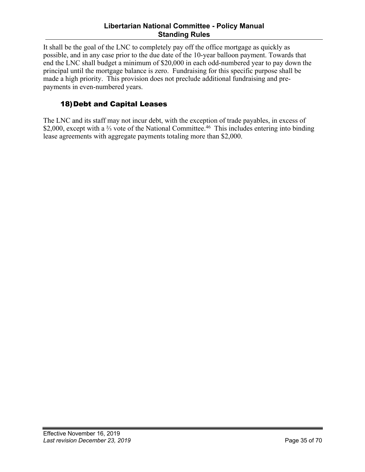#### **Libertarian National Committee - Policy Manual Standing Rules**

<span id="page-34-0"></span>It shall be the goal of the LNC to completely pay off the office mortgage as quickly as possible, and in any case prior to the due date of the 10-year balloon payment. Towards that end the LNC shall budget a minimum of \$20,000 in each odd-numbered year to pay down the principal until the mortgage balance is zero. Fundraising for this specific purpose shall be made a high priority. This provision does not preclude additional fundraising and prepayments in even-numbered years.

#### 18)Debt and Capital Leases

The LNC and its staff may not incur debt, with the exception of trade payables, in excess of \$2,000, except with a <sup>2</sup>⁄<sub>3</sub> vote of the National Committee.<sup>46</sup> This includes entering into binding lease agreements with aggregate payments totaling more than \$2,000.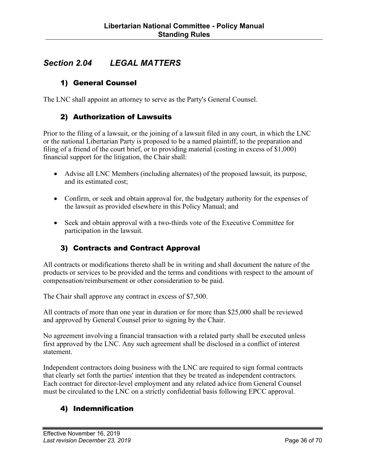## <span id="page-35-0"></span>*Section 2.04 LEGAL MATTERS*

#### 1) General Counsel

The LNC shall appoint an attorney to serve as the Party's General Counsel.

#### 2) Authorization of Lawsuits

Prior to the filing of a lawsuit, or the joining of a lawsuit filed in any court, in which the LNC or the national Libertarian Party is proposed to be a named plaintiff, to the preparation and filing of a friend of the court brief, or to providing material (costing in excess of \$1,000) financial support for the litigation, the Chair shall:

- Advise all LNC Members (including alternates) of the proposed lawsuit, its purpose, and its estimated cost;
- Confirm, or seek and obtain approval for, the budgetary authority for the expenses of the lawsuit as provided elsewhere in this Policy Manual; and
- Seek and obtain approval with a two-thirds vote of the Executive Committee for participation in the lawsuit.

#### 3) Contracts and Contract Approval

All contracts or modifications thereto shall be in writing and shall document the nature of the products or services to be provided and the terms and conditions with respect to the amount of compensation/reimbursement or other consideration to be paid.

The Chair shall approve any contract in excess of \$7,500.

All contracts of more than one year in duration or for more than \$25,000 shall be reviewed and approved by General Counsel prior to signing by the Chair.

No agreement involving a financial transaction with a related party shall be executed unless first approved by the LNC. Any such agreement shall be disclosed in a conflict of interest statement.

Independent contractors doing business with the LNC are required to sign formal contracts that clearly set forth the parties' intention that they be treated as independent contractors. Each contract for director-level employment and any related advice from General Counsel must be circulated to the LNC on a strictly confidential basis following EPCC approval.

#### 4) Indemnification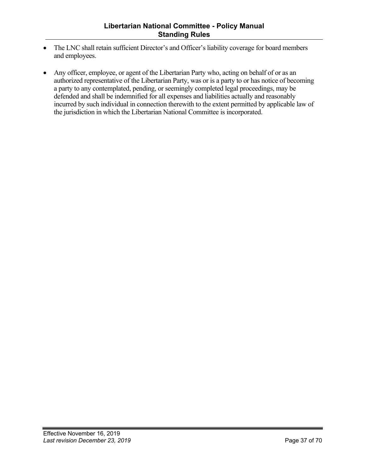- The LNC shall retain sufficient Director's and Officer's liability coverage for board members and employees.
- Any officer, employee, or agent of the Libertarian Party who, acting on behalf of or as an authorized representative of the Libertarian Party, was or is a party to or has notice of becoming a party to any contemplated, pending, or seemingly completed legal proceedings, may be defended and shall be indemnified for all expenses and liabilities actually and reasonably incurred by such individual in connection therewith to the extent permitted by applicable law of the jurisdiction in which the Libertarian National Committee is incorporated.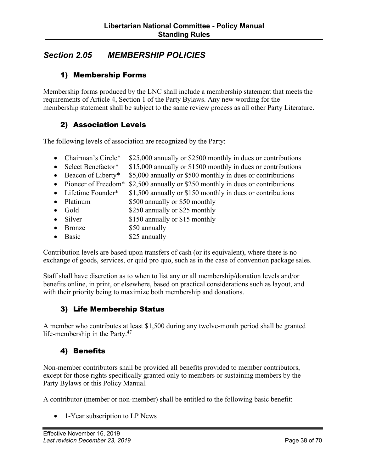## <span id="page-37-0"></span>*Section 2.05 MEMBERSHIP POLICIES*

#### 1) Membership Forms

Membership forms produced by the LNC shall include a membership statement that meets the requirements of Article 4, Section 1 of the Party Bylaws. Any new wording for the membership statement shall be subject to the same review process as all other Party Literature.

#### 2) Association Levels

The following levels of association are recognized by the Party:

- Chairman's Circle\* \$25,000 annually or \$2500 monthly in dues or contributions
- Select Benefactor\* \$15,000 annually or \$1500 monthly in dues or contributions
- Beacon of Liberty\* \$5,000 annually or \$500 monthly in dues or contributions
- Pioneer of Freedom<sup>\*</sup> \$2,500 annually or \$250 monthly in dues or contributions
- Lifetime Founder\*  $$1,500$  annually or \$150 monthly in dues or contributions
- Platinum \$500 annually or \$50 monthly
- Gold \$250 annually or \$25 monthly
- Silver \$150 annually or \$15 monthly
- Bronze \$50 annually
- Basic \$25 annually

Contribution levels are based upon transfers of cash (or its equivalent), where there is no exchange of goods, services, or quid pro quo, such as in the case of convention package sales.

Staff shall have discretion as to when to list any or all membership/donation levels and/or benefits online, in print, or elsewhere, based on practical considerations such as layout, and with their priority being to maximize both membership and donations.

#### 3) Life Membership Status

A member who contributes at least \$1,500 during any twelve-month period shall be granted life-membership in the Party.<sup>47</sup>

#### 4) Benefits

Non-member contributors shall be provided all benefits provided to member contributors, except for those rights specifically granted only to members or sustaining members by the Party Bylaws or this Policy Manual.

A contributor (member or non-member) shall be entitled to the following basic benefit:

• 1-Year subscription to LP News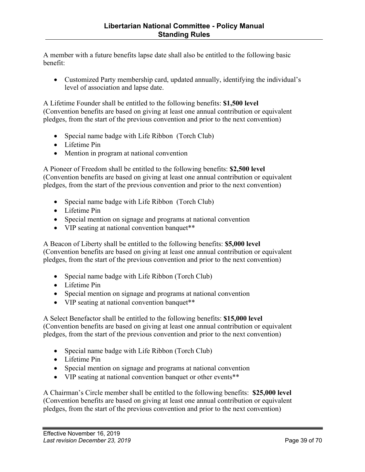A member with a future benefits lapse date shall also be entitled to the following basic benefit:

• Customized Party membership card, updated annually, identifying the individual's level of association and lapse date.

A Lifetime Founder shall be entitled to the following benefits: **\$1,500 level**  (Convention benefits are based on giving at least one annual contribution or equivalent pledges, from the start of the previous convention and prior to the next convention)

- Special name badge with Life Ribbon (Torch Club)
- Lifetime Pin
- Mention in program at national convention

A Pioneer of Freedom shall be entitled to the following benefits: **\$2,500 level** (Convention benefits are based on giving at least one annual contribution or equivalent pledges, from the start of the previous convention and prior to the next convention)

- Special name badge with Life Ribbon (Torch Club)
- Lifetime Pin
- Special mention on signage and programs at national convention
- VIP seating at national convention banquet\*\*

A Beacon of Liberty shall be entitled to the following benefits: **\$5,000 level** (Convention benefits are based on giving at least one annual contribution or equivalent pledges, from the start of the previous convention and prior to the next convention)

- Special name badge with Life Ribbon (Torch Club)
- Lifetime Pin
- Special mention on signage and programs at national convention
- VIP seating at national convention banquet\*\*

A Select Benefactor shall be entitled to the following benefits: **\$15,000 level**  (Convention benefits are based on giving at least one annual contribution or equivalent pledges, from the start of the previous convention and prior to the next convention)

- Special name badge with Life Ribbon (Torch Club)
- Lifetime Pin
- Special mention on signage and programs at national convention
- VIP seating at national convention banquet or other events\*\*

A Chairman's Circle member shall be entitled to the following benefits: **\$25,000 level**  (Convention benefits are based on giving at least one annual contribution or equivalent pledges, from the start of the previous convention and prior to the next convention)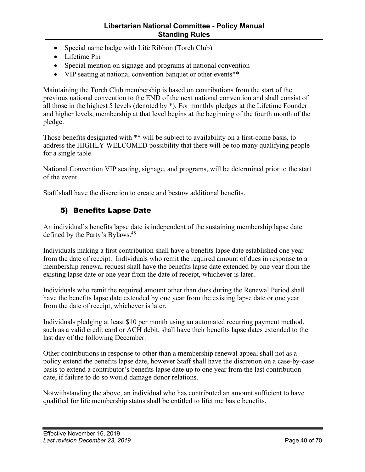- <span id="page-39-0"></span>• Special name badge with Life Ribbon (Torch Club)
- Lifetime Pin
- Special mention on signage and programs at national convention
- VIP seating at national convention banquet or other events\*\*

Maintaining the Torch Club membership is based on contributions from the start of the previous national convention to the END of the next national convention and shall consist of all those in the highest 5 levels (denoted by \*). For monthly pledges at the Lifetime Founder and higher levels, membership at that level begins at the beginning of the fourth month of the pledge.

Those benefits designated with \*\* will be subject to availability on a first-come basis, to address the HIGHLY WELCOMED possibility that there will be too many qualifying people for a single table.

National Convention VIP seating, signage, and programs, will be determined prior to the start of the event.

Staff shall have the discretion to create and bestow additional benefits.

#### 5) Benefits Lapse Date

An individual's benefits lapse date is independent of the sustaining membership lapse date defined by the Party's Bylaws.<sup>48</sup>

Individuals making a first contribution shall have a benefits lapse date established one year from the date of receipt. Individuals who remit the required amount of dues in response to a membership renewal request shall have the benefits lapse date extended by one year from the existing lapse date or one year from the date of receipt, whichever is later.

Individuals who remit the required amount other than dues during the Renewal Period shall have the benefits lapse date extended by one year from the existing lapse date or one year from the date of receipt, whichever is later.

Individuals pledging at least \$10 per month using an automated recurring payment method, such as a valid credit card or ACH debit, shall have their benefits lapse dates extended to the last day of the following December.

Other contributions in response to other than a membership renewal appeal shall not as a policy extend the benefits lapse date, however Staff shall have the discretion on a case-by-case basis to extend a contributor's benefits lapse date up to one year from the last contribution date, if failure to do so would damage donor relations.

Notwithstanding the above, an individual who has contributed an amount sufficient to have qualified for life membership status shall be entitled to lifetime basic benefits.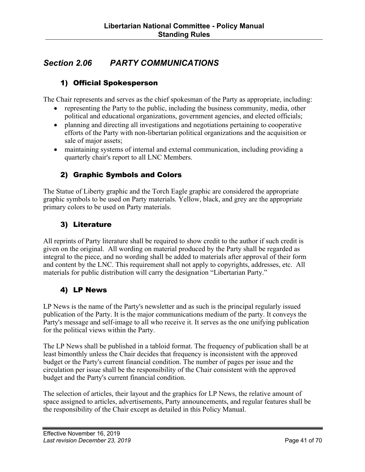## <span id="page-40-0"></span>*Section 2.06 PARTY COMMUNICATIONS*

#### 1) Official Spokesperson

The Chair represents and serves as the chief spokesman of the Party as appropriate, including:

- representing the Party to the public, including the business community, media, other political and educational organizations, government agencies, and elected officials;
- planning and directing all investigations and negotiations pertaining to cooperative efforts of the Party with non-libertarian political organizations and the acquisition or sale of major assets;
- maintaining systems of internal and external communication, including providing a quarterly chair's report to all LNC Members.

## 2) Graphic Symbols and Colors

The Statue of Liberty graphic and the Torch Eagle graphic are considered the appropriate graphic symbols to be used on Party materials. Yellow, black, and grey are the appropriate primary colors to be used on Party materials.

#### 3) Literature

All reprints of Party literature shall be required to show credit to the author if such credit is given on the original. All wording on material produced by the Party shall be regarded as integral to the piece, and no wording shall be added to materials after approval of their form and content by the LNC. This requirement shall not apply to copyrights, addresses, etc. All materials for public distribution will carry the designation "Libertarian Party."

#### 4) LP News

LP News is the name of the Party's newsletter and as such is the principal regularly issued publication of the Party. It is the major communications medium of the party. It conveys the Party's message and self-image to all who receive it. It serves as the one unifying publication for the political views within the Party.

The LP News shall be published in a tabloid format. The frequency of publication shall be at least bimonthly unless the Chair decides that frequency is inconsistent with the approved budget or the Party's current financial condition. The number of pages per issue and the circulation per issue shall be the responsibility of the Chair consistent with the approved budget and the Party's current financial condition.

The selection of articles, their layout and the graphics for LP News, the relative amount of space assigned to articles, advertisements, Party announcements, and regular features shall be the responsibility of the Chair except as detailed in this Policy Manual.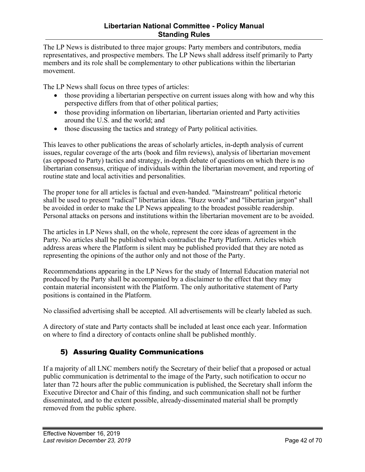<span id="page-41-0"></span>The LP News is distributed to three major groups: Party members and contributors, media representatives, and prospective members. The LP News shall address itself primarily to Party members and its role shall be complementary to other publications within the libertarian movement.

The LP News shall focus on three types of articles:

- those providing a libertarian perspective on current issues along with how and why this perspective differs from that of other political parties;
- those providing information on libertarian, libertarian oriented and Party activities around the U.S. and the world; and
- those discussing the tactics and strategy of Party political activities.

This leaves to other publications the areas of scholarly articles, in-depth analysis of current issues, regular coverage of the arts (book and film reviews), analysis of libertarian movement (as opposed to Party) tactics and strategy, in-depth debate of questions on which there is no libertarian consensus, critique of individuals within the libertarian movement, and reporting of routine state and local activities and personalities.

The proper tone for all articles is factual and even-handed. "Mainstream" political rhetoric shall be used to present "radical" libertarian ideas. "Buzz words" and "libertarian jargon" shall be avoided in order to make the LP News appealing to the broadest possible readership. Personal attacks on persons and institutions within the libertarian movement are to be avoided.

The articles in LP News shall, on the whole, represent the core ideas of agreement in the Party. No articles shall be published which contradict the Party Platform. Articles which address areas where the Platform is silent may be published provided that they are noted as representing the opinions of the author only and not those of the Party.

Recommendations appearing in the LP News for the study of Internal Education material not produced by the Party shall be accompanied by a disclaimer to the effect that they may contain material inconsistent with the Platform. The only authoritative statement of Party positions is contained in the Platform.

No classified advertising shall be accepted. All advertisements will be clearly labeled as such.

A directory of state and Party contacts shall be included at least once each year. Information on where to find a directory of contacts online shall be published monthly.

## 5) Assuring Quality Communications

If a majority of all LNC members notify the Secretary of their belief that a proposed or actual public communication is detrimental to the image of the Party, such notification to occur no later than 72 hours after the public communication is published, the Secretary shall inform the Executive Director and Chair of this finding, and such communication shall not be further disseminated, and to the extent possible, already-disseminated material shall be promptly removed from the public sphere.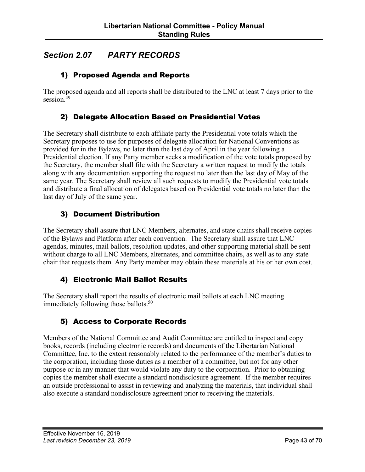## <span id="page-42-0"></span>*Section 2.07 PARTY RECORDS*

#### 1) Proposed Agenda and Reports

The proposed agenda and all reports shall be distributed to the LNC at least 7 days prior to the session. 49

#### 2) Delegate Allocation Based on Presidential Votes

The Secretary shall distribute to each affiliate party the Presidential vote totals which the Secretary proposes to use for purposes of delegate allocation for National Conventions as provided for in the Bylaws, no later than the last day of April in the year following a Presidential election. If any Party member seeks a modification of the vote totals proposed by the Secretary, the member shall file with the Secretary a written request to modify the totals along with any documentation supporting the request no later than the last day of May of the same year. The Secretary shall review all such requests to modify the Presidential vote totals and distribute a final allocation of delegates based on Presidential vote totals no later than the last day of July of the same year.

#### 3) Document Distribution

The Secretary shall assure that LNC Members, alternates, and state chairs shall receive copies of the Bylaws and Platform after each convention. The Secretary shall assure that LNC agendas, minutes, mail ballots, resolution updates, and other supporting material shall be sent without charge to all LNC Members, alternates, and committee chairs, as well as to any state chair that requests them. Any Party member may obtain these materials at his or her own cost.

#### 4) Electronic Mail Ballot Results

The Secretary shall report the results of electronic mail ballots at each LNC meeting immediately following those ballots.<sup>50</sup>

#### 5) Access to Corporate Records

Members of the National Committee and Audit Committee are entitled to inspect and copy books, records (including electronic records) and documents of the Libertarian National Committee, Inc. to the extent reasonably related to the performance of the member's duties to the corporation, including those duties as a member of a committee, but not for any other purpose or in any manner that would violate any duty to the corporation. Prior to obtaining copies the member shall execute a standard nondisclosure agreement. If the member requires an outside professional to assist in reviewing and analyzing the materials, that individual shall also execute a standard nondisclosure agreement prior to receiving the materials.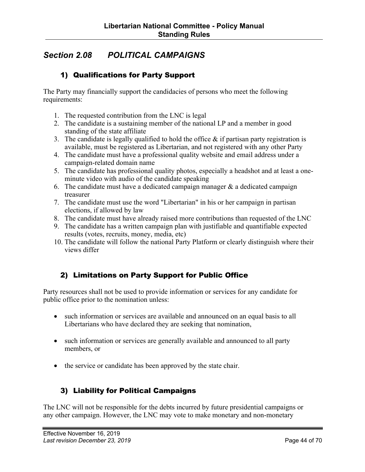## <span id="page-43-0"></span>*Section 2.08 POLITICAL CAMPAIGNS*

#### 1) Qualifications for Party Support

The Party may financially support the candidacies of persons who meet the following requirements:

- 1. The requested contribution from the LNC is legal
- 2. The candidate is a sustaining member of the national LP and a member in good standing of the state affiliate
- 3. The candidate is legally qualified to hold the office  $\&$  if partisan party registration is available, must be registered as Libertarian, and not registered with any other Party
- 4. The candidate must have a professional quality website and email address under a campaign-related domain name
- 5. The candidate has professional quality photos, especially a headshot and at least a oneminute video with audio of the candidate speaking
- 6. The candidate must have a dedicated campaign manager  $\&$  a dedicated campaign treasurer
- 7. The candidate must use the word "Libertarian" in his or her campaign in partisan elections, if allowed by law
- 8. The candidate must have already raised more contributions than requested of the LNC
- 9. The candidate has a written campaign plan with justifiable and quantifiable expected results (votes, recruits, money, media, etc)
- 10. The candidate will follow the national Party Platform or clearly distinguish where their views differ

#### 2) Limitations on Party Support for Public Office

Party resources shall not be used to provide information or services for any candidate for public office prior to the nomination unless:

- such information or services are available and announced on an equal basis to all Libertarians who have declared they are seeking that nomination,
- such information or services are generally available and announced to all party members, or
- the service or candidate has been approved by the state chair.

#### 3) Liability for Political Campaigns

The LNC will not be responsible for the debts incurred by future presidential campaigns or any other campaign. However, the LNC may vote to make monetary and non-monetary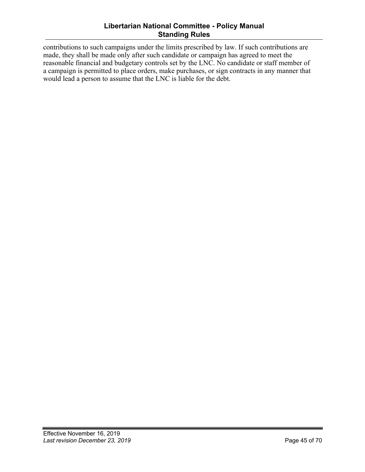#### **Libertarian National Committee - Policy Manual Standing Rules**

contributions to such campaigns under the limits prescribed by law. If such contributions are made, they shall be made only after such candidate or campaign has agreed to meet the reasonable financial and budgetary controls set by the LNC. No candidate or staff member of a campaign is permitted to place orders, make purchases, or sign contracts in any manner that would lead a person to assume that the LNC is liable for the debt.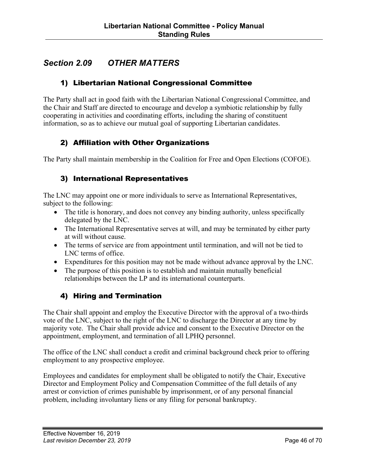## <span id="page-45-0"></span>*Section 2.09 OTHER MATTERS*

#### 1) Libertarian National Congressional Committee

The Party shall act in good faith with the Libertarian National Congressional Committee, and the Chair and Staff are directed to encourage and develop a symbiotic relationship by fully cooperating in activities and coordinating efforts, including the sharing of constituent information, so as to achieve our mutual goal of supporting Libertarian candidates.

#### 2) Affiliation with Other Organizations

The Party shall maintain membership in the Coalition for Free and Open Elections (COFOE).

#### 3) International Representatives

The LNC may appoint one or more individuals to serve as International Representatives, subject to the following:

- The title is honorary, and does not convey any binding authority, unless specifically delegated by the LNC.
- The International Representative serves at will, and may be terminated by either party at will without cause.
- The terms of service are from appointment until termination, and will not be tied to LNC terms of office.
- Expenditures for this position may not be made without advance approval by the LNC.
- The purpose of this position is to establish and maintain mutually beneficial relationships between the LP and its international counterparts.

#### 4) Hiring and Termination

The Chair shall appoint and employ the Executive Director with the approval of a two-thirds vote of the LNC, subject to the right of the LNC to discharge the Director at any time by majority vote. The Chair shall provide advice and consent to the Executive Director on the appointment, employment, and termination of all LPHQ personnel.

The office of the LNC shall conduct a credit and criminal background check prior to offering employment to any prospective employee.

Employees and candidates for employment shall be obligated to notify the Chair, Executive Director and Employment Policy and Compensation Committee of the full details of any arrest or conviction of crimes punishable by imprisonment, or of any personal financial problem, including involuntary liens or any filing for personal bankruptcy.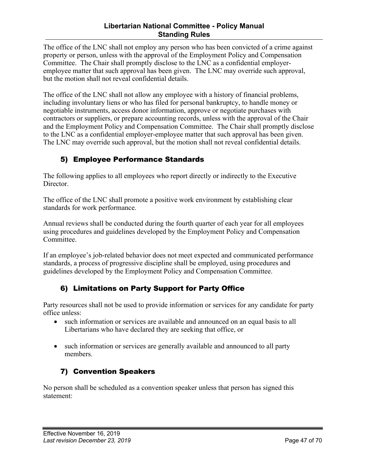#### **Libertarian National Committee - Policy Manual Standing Rules**

<span id="page-46-0"></span>The office of the LNC shall not employ any person who has been convicted of a crime against property or person, unless with the approval of the Employment Policy and Compensation Committee. The Chair shall promptly disclose to the LNC as a confidential employeremployee matter that such approval has been given. The LNC may override such approval, but the motion shall not reveal confidential details.

The office of the LNC shall not allow any employee with a history of financial problems, including involuntary liens or who has filed for personal bankruptcy, to handle money or negotiable instruments, access donor information, approve or negotiate purchases with contractors or suppliers, or prepare accounting records, unless with the approval of the Chair and the Employment Policy and Compensation Committee. The Chair shall promptly disclose to the LNC as a confidential employer-employee matter that such approval has been given. The LNC may override such approval, but the motion shall not reveal confidential details.

## 5) Employee Performance Standards

The following applies to all employees who report directly or indirectly to the Executive Director.

The office of the LNC shall promote a positive work environment by establishing clear standards for work performance.

Annual reviews shall be conducted during the fourth quarter of each year for all employees using procedures and guidelines developed by the Employment Policy and Compensation Committee.

If an employee's job-related behavior does not meet expected and communicated performance standards, a process of progressive discipline shall be employed, using procedures and guidelines developed by the Employment Policy and Compensation Committee.

#### 6) Limitations on Party Support for Party Office

Party resources shall not be used to provide information or services for any candidate for party office unless:

- such information or services are available and announced on an equal basis to all Libertarians who have declared they are seeking that office, or
- such information or services are generally available and announced to all party members.

## 7) Convention Speakers

No person shall be scheduled as a convention speaker unless that person has signed this statement: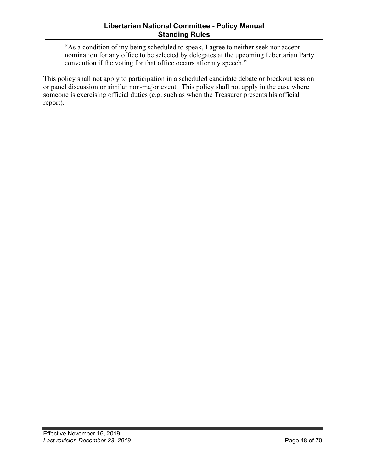"As a condition of my being scheduled to speak, I agree to neither seek nor accept nomination for any office to be selected by delegates at the upcoming Libertarian Party convention if the voting for that office occurs after my speech."

This policy shall not apply to participation in a scheduled candidate debate or breakout session or panel discussion or similar non-major event. This policy shall not apply in the case where someone is exercising official duties (e.g. such as when the Treasurer presents his official report).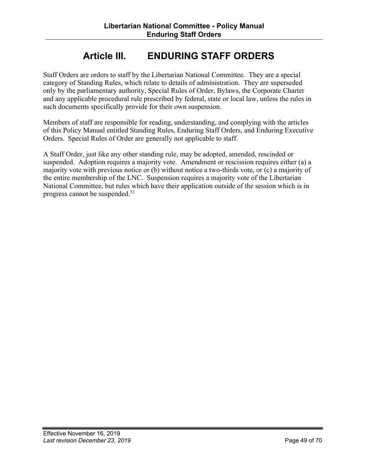## **Article III. ENDURING STAFF ORDERS**

<span id="page-48-0"></span>Staff Orders are orders to staff by the Libertarian National Committee. They are a special category of Standing Rules, which relate to details of administration. They are superseded only by the parliamentary authority, Special Rules of Order, Bylaws, the Corporate Charter and any applicable procedural rule prescribed by federal, state or local law, unless the rules in such documents specifically provide for their own suspension.

Members of staff are responsible for reading, understanding, and complying with the articles of this Policy Manual entitled Standing Rules, Enduring Staff Orders, and Enduring Executive Orders. Special Rules of Order are generally not applicable to staff.

A Staff Order, just like any other standing rule, may be adopted, amended, rescinded or suspended. Adoption requires a majority vote. Amendment or rescission requires either (a) a majority vote with previous notice or (b) without notice a two-thirds vote, or (c) a majority of the entire membership of the LNC. Suspension requires a majority vote of the Libertarian National Committee, but rules which have their application outside of the session which is in progress cannot be suspended. 51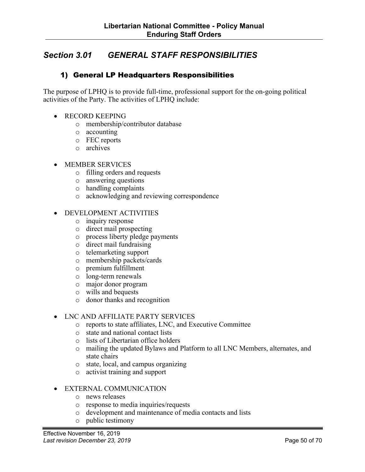## <span id="page-49-0"></span>*Section 3.01 GENERAL STAFF RESPONSIBILITIES*

#### 1) General LP Headquarters Responsibilities

The purpose of LPHQ is to provide full-time, professional support for the on-going political activities of the Party. The activities of LPHQ include:

- RECORD KEEPING
	- o membership/contributor database
	- o accounting
	- o FEC reports
	- o archives

#### • MEMBER SERVICES

- o filling orders and requests
- o answering questions
- o handling complaints
- o acknowledging and reviewing correspondence

#### • DEVELOPMENT ACTIVITIES

- o inquiry response
- o direct mail prospecting
- o process liberty pledge payments
- o direct mail fundraising
- o telemarketing support
- o membership packets/cards
- o premium fulfillment
- o long-term renewals
- o major donor program
- o wills and bequests
- o donor thanks and recognition

#### • LNC AND AFFILIATE PARTY SERVICES

- o reports to state affiliates, LNC, and Executive Committee
- o state and national contact lists
- o lists of Libertarian office holders
- o mailing the updated Bylaws and Platform to all LNC Members, alternates, and state chairs
- o state, local, and campus organizing
- o activist training and support

#### • EXTERNAL COMMUNICATION

- o news releases
- o response to media inquiries/requests
- o development and maintenance of media contacts and lists
- o public testimony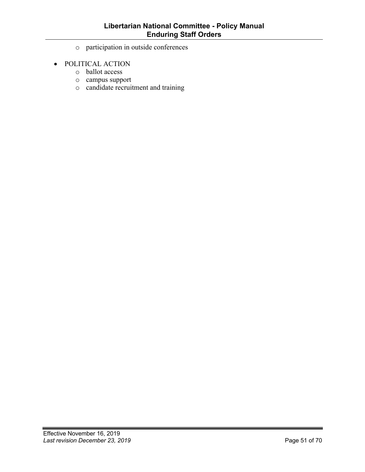- o participation in outside conferences
- POLITICAL ACTION
	- o ballot access
	- o campus support
	- o candidate recruitment and training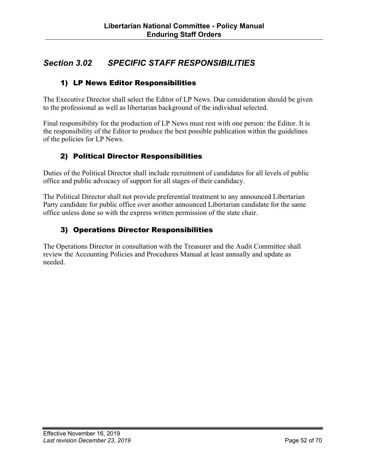## <span id="page-51-0"></span>*Section 3.02 SPECIFIC STAFF RESPONSIBILITIES*

#### 1) LP News Editor Responsibilities

The Executive Director shall select the Editor of LP News. Due consideration should be given to the professional as well as libertarian background of the individual selected.

Final responsibility for the production of LP News must rest with one person: the Editor. It is the responsibility of the Editor to produce the best possible publication within the guidelines of the policies for LP News.

#### 2) Political Director Responsibilities

Duties of the Political Director shall include recruitment of candidates for all levels of public office and public advocacy of support for all stages of their candidacy.

The Political Director shall not provide preferential treatment to any announced Libertarian Party candidate for public office over another announced Libertarian candidate for the same office unless done so with the express written permission of the state chair.

## 3) Operations Director Responsibilities

The Operations Director in consultation with the Treasurer and the Audit Committee shall review the Accounting Policies and Procedures Manual at least annually and update as needed.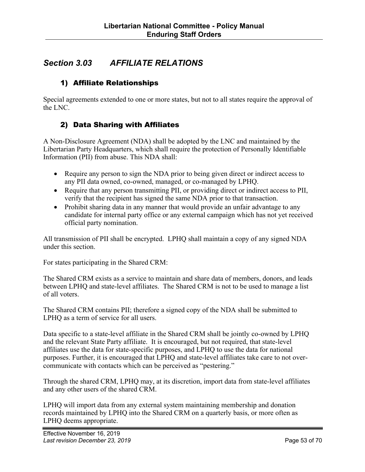## <span id="page-52-0"></span>*Section 3.03 AFFILIATE RELATIONS*

#### 1) Affiliate Relationships

Special agreements extended to one or more states, but not to all states require the approval of the LNC.

#### 2) Data Sharing with Affiliates

A Non-Disclosure Agreement (NDA) shall be adopted by the LNC and maintained by the Libertarian Party Headquarters, which shall require the protection of Personally Identifiable Information (PII) from abuse. This NDA shall:

- Require any person to sign the NDA prior to being given direct or indirect access to any PII data owned, co-owned, managed, or co-managed by LPHQ.
- Require that any person transmitting PII, or providing direct or indirect access to PII, verify that the recipient has signed the same NDA prior to that transaction.
- Prohibit sharing data in any manner that would provide an unfair advantage to any candidate for internal party office or any external campaign which has not yet received official party nomination.

All transmission of PII shall be encrypted. LPHQ shall maintain a copy of any signed NDA under this section.

For states participating in the Shared CRM:

The Shared CRM exists as a service to maintain and share data of members, donors, and leads between LPHQ and state-level affiliates. The Shared CRM is not to be used to manage a list of all voters.

The Shared CRM contains PII; therefore a signed copy of the NDA shall be submitted to LPHQ as a term of service for all users.

Data specific to a state-level affiliate in the Shared CRM shall be jointly co-owned by LPHQ and the relevant State Party affiliate. It is encouraged, but not required, that state-level affiliates use the data for state-specific purposes, and LPHQ to use the data for national purposes. Further, it is encouraged that LPHQ and state-level affiliates take care to not overcommunicate with contacts which can be perceived as "pestering."

Through the shared CRM, LPHQ may, at its discretion, import data from state-level affiliates and any other users of the shared CRM.

LPHQ will import data from any external system maintaining membership and donation records maintained by LPHQ into the Shared CRM on a quarterly basis, or more often as LPHQ deems appropriate.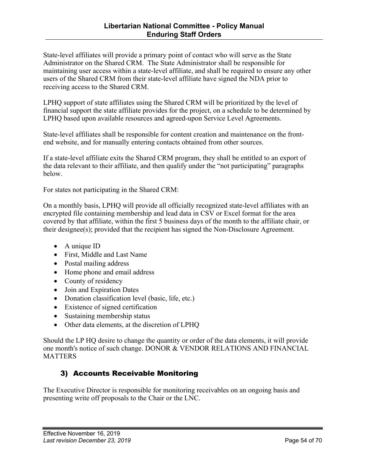<span id="page-53-0"></span>State-level affiliates will provide a primary point of contact who will serve as the State Administrator on the Shared CRM. The State Administrator shall be responsible for maintaining user access within a state-level affiliate, and shall be required to ensure any other users of the Shared CRM from their state-level affiliate have signed the NDA prior to receiving access to the Shared CRM.

LPHQ support of state affiliates using the Shared CRM will be prioritized by the level of financial support the state affiliate provides for the project, on a schedule to be determined by LPHQ based upon available resources and agreed-upon Service Level Agreements.

State-level affiliates shall be responsible for content creation and maintenance on the frontend website, and for manually entering contacts obtained from other sources.

If a state-level affiliate exits the Shared CRM program, they shall be entitled to an export of the data relevant to their affiliate, and then qualify under the "not participating" paragraphs below.

For states not participating in the Shared CRM:

On a monthly basis, LPHQ will provide all officially recognized state-level affiliates with an encrypted file containing membership and lead data in CSV or Excel format for the area covered by that affiliate, within the first 5 business days of the month to the affiliate chair, or their designee(s); provided that the recipient has signed the Non-Disclosure Agreement.

- A unique ID
- First, Middle and Last Name
- Postal mailing address
- Home phone and email address
- County of residency
- Join and Expiration Dates
- Donation classification level (basic, life, etc.)
- Existence of signed certification
- Sustaining membership status
- Other data elements, at the discretion of LPHQ

Should the LP HQ desire to change the quantity or order of the data elements, it will provide one month's notice of such change. DONOR & VENDOR RELATIONS AND FINANCIAL **MATTERS** 

#### 3) Accounts Receivable Monitoring

The Executive Director is responsible for monitoring receivables on an ongoing basis and presenting write off proposals to the Chair or the LNC.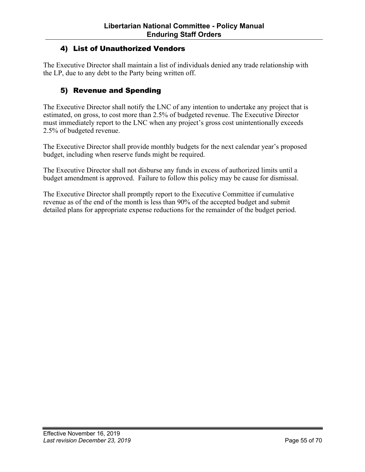#### <span id="page-54-0"></span>4) List of Unauthorized Vendors

The Executive Director shall maintain a list of individuals denied any trade relationship with the LP, due to any debt to the Party being written off.

#### 5) Revenue and Spending

The Executive Director shall notify the LNC of any intention to undertake any project that is estimated, on gross, to cost more than 2.5% of budgeted revenue. The Executive Director must immediately report to the LNC when any project's gross cost unintentionally exceeds 2.5% of budgeted revenue.

The Executive Director shall provide monthly budgets for the next calendar year's proposed budget, including when reserve funds might be required.

The Executive Director shall not disburse any funds in excess of authorized limits until a budget amendment is approved. Failure to follow this policy may be cause for dismissal.

The Executive Director shall promptly report to the Executive Committee if cumulative revenue as of the end of the month is less than 90% of the accepted budget and submit detailed plans for appropriate expense reductions for the remainder of the budget period.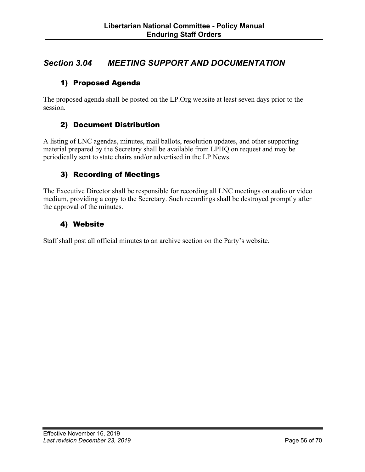## <span id="page-55-0"></span>*Section 3.04 MEETING SUPPORT AND DOCUMENTATION*

#### 1) Proposed Agenda

The proposed agenda shall be posted on the LP.Org website at least seven days prior to the session.

#### 2) Document Distribution

A listing of LNC agendas, minutes, mail ballots, resolution updates, and other supporting material prepared by the Secretary shall be available from LPHQ on request and may be periodically sent to state chairs and/or advertised in the LP News.

#### 3) Recording of Meetings

The Executive Director shall be responsible for recording all LNC meetings on audio or video medium, providing a copy to the Secretary. Such recordings shall be destroyed promptly after the approval of the minutes.

#### 4) Website

Staff shall post all official minutes to an archive section on the Party's website.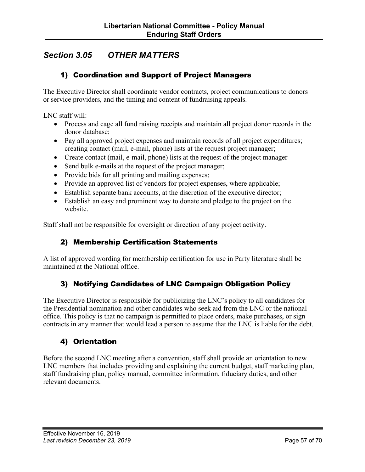## <span id="page-56-0"></span>*Section 3.05 OTHER MATTERS*

#### 1) Coordination and Support of Project Managers

The Executive Director shall coordinate vendor contracts, project communications to donors or service providers, and the timing and content of fundraising appeals.

LNC staff will:

- Process and cage all fund raising receipts and maintain all project donor records in the donor database;
- Pay all approved project expenses and maintain records of all project expenditures; creating contact (mail, e-mail, phone) lists at the request project manager;
- Create contact (mail, e-mail, phone) lists at the request of the project manager
- Send bulk e-mails at the request of the project manager;
- Provide bids for all printing and mailing expenses;
- Provide an approved list of vendors for project expenses, where applicable;
- Establish separate bank accounts, at the discretion of the executive director;
- Establish an easy and prominent way to donate and pledge to the project on the website.

Staff shall not be responsible for oversight or direction of any project activity.

#### 2) Membership Certification Statements

A list of approved wording for membership certification for use in Party literature shall be maintained at the National office.

#### 3) Notifying Candidates of LNC Campaign Obligation Policy

The Executive Director is responsible for publicizing the LNC's policy to all candidates for the Presidential nomination and other candidates who seek aid from the LNC or the national office. This policy is that no campaign is permitted to place orders, make purchases, or sign contracts in any manner that would lead a person to assume that the LNC is liable for the debt.

#### 4) Orientation

Before the second LNC meeting after a convention, staff shall provide an orientation to new LNC members that includes providing and explaining the current budget, staff marketing plan, staff fundraising plan, policy manual, committee information, fiduciary duties, and other relevant documents.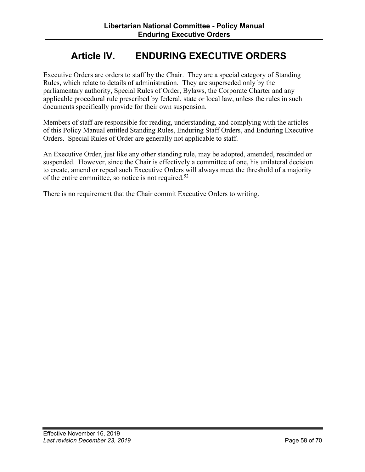## **Article IV. ENDURING EXECUTIVE ORDERS**

<span id="page-57-0"></span>Executive Orders are orders to staff by the Chair. They are a special category of Standing Rules, which relate to details of administration. They are superseded only by the parliamentary authority, Special Rules of Order, Bylaws, the Corporate Charter and any applicable procedural rule prescribed by federal, state or local law, unless the rules in such documents specifically provide for their own suspension.

Members of staff are responsible for reading, understanding, and complying with the articles of this Policy Manual entitled Standing Rules, Enduring Staff Orders, and Enduring Executive Orders. Special Rules of Order are generally not applicable to staff.

An Executive Order, just like any other standing rule, may be adopted, amended, rescinded or suspended. However, since the Chair is effectively a committee of one, his unilateral decision to create, amend or repeal such Executive Orders will always meet the threshold of a majority of the entire committee, so notice is not required.52

There is no requirement that the Chair commit Executive Orders to writing.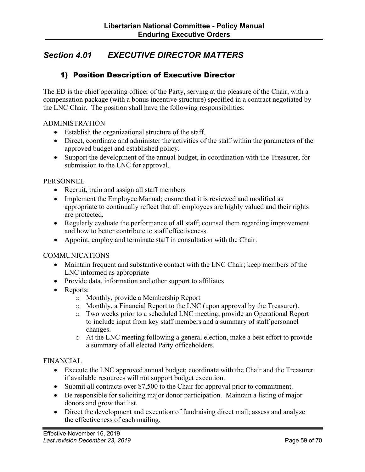## <span id="page-58-0"></span>*Section 4.01 EXECUTIVE DIRECTOR MATTERS*

#### 1) Position Description of Executive Director

The ED is the chief operating officer of the Party, serving at the pleasure of the Chair, with a compensation package (with a bonus incentive structure) specified in a contract negotiated by the LNC Chair. The position shall have the following responsibilities:

#### ADMINISTRATION

- Establish the organizational structure of the staff.
- Direct, coordinate and administer the activities of the staff within the parameters of the approved budget and established policy.
- Support the development of the annual budget, in coordination with the Treasurer, for submission to the LNC for approval.

#### **PERSONNEL**

- Recruit, train and assign all staff members
- Implement the Employee Manual; ensure that it is reviewed and modified as appropriate to continually reflect that all employees are highly valued and their rights are protected.
- Regularly evaluate the performance of all staff; counsel them regarding improvement and how to better contribute to staff effectiveness.
- Appoint, employ and terminate staff in consultation with the Chair.

#### **COMMUNICATIONS**

- Maintain frequent and substantive contact with the LNC Chair; keep members of the LNC informed as appropriate
- Provide data, information and other support to affiliates
- Reports:
	- o Monthly, provide a Membership Report
	- o Monthly, a Financial Report to the LNC (upon approval by the Treasurer).
	- o Two weeks prior to a scheduled LNC meeting, provide an Operational Report to include input from key staff members and a summary of staff personnel changes.
	- o At the LNC meeting following a general election, make a best effort to provide a summary of all elected Party officeholders.

#### FINANCIAL

- Execute the LNC approved annual budget; coordinate with the Chair and the Treasurer if available resources will not support budget execution.
- Submit all contracts over \$7,500 to the Chair for approval prior to commitment.
- Be responsible for soliciting major donor participation. Maintain a listing of major donors and grow that list.
- Direct the development and execution of fundraising direct mail; assess and analyze the effectiveness of each mailing.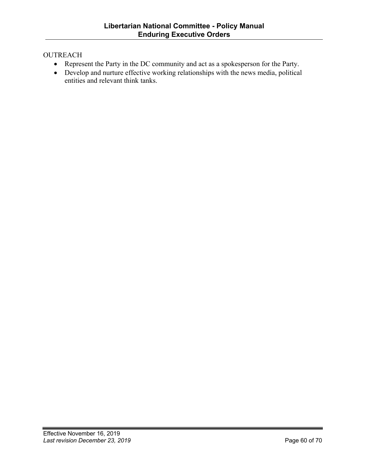#### **OUTREACH**

- Represent the Party in the DC community and act as a spokesperson for the Party.
- Develop and nurture effective working relationships with the news media, political entities and relevant think tanks.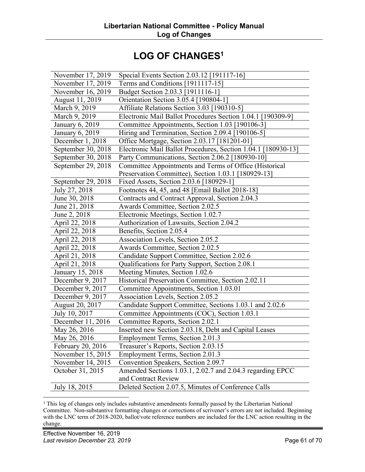## **LOG OF CHANGES1**

<span id="page-60-0"></span>

| November 17, 2019  | Special Events Section 2.03.12 [191117-16]                    |
|--------------------|---------------------------------------------------------------|
| November 17, 2019  | Terms and Conditions [1911117-15]                             |
| November 16, 2019  | Budget Section 2.03.3 [1911116-1]                             |
| August 11, 2019    | Orientation Section 3.05.4 [190804-1]                         |
| March 9, 2019      | Affiliate Relations Section 3.03 [190310-5]                   |
| March 9, 2019      | Electronic Mail Ballot Procedures Section 1.04.1 [190309-9]   |
| January 6, 2019    | Committee Appointments, Section 1.03 [190106-3]               |
| January 6, 2019    | Hiring and Termination, Section 2.09.4 [190106-5]             |
| December 1, 2018   | Office Mortgage, Section 2.03.17 [181201-01]                  |
| September 30, 2018 | Electronic Mail Ballot Procedures, Section 1.04.1 [180930-13] |
| September 30, 2018 | Party Communications, Section 2.06.2 [180930-10]              |
| September 29, 2018 | Committee Appointments and Terms of Office (Historical        |
|                    | Preservation Committee), Section 1.03.1 [180929-13]           |
| September 29, 2018 | Fixed Assets, Section 2.03.6 [180929-1]                       |
| July 27, 2018      | Footnotes 44, 45, and 48 [Email Ballot 2018-18]               |
| June 30, 2018      | Contracts and Contract Approval, Section 2.04.3               |
| June 21, 2018      | Awards Committee, Section 2.02.5                              |
| June 2, 2018       | Electronic Meetings, Section 1.02.7                           |
| April 22, 2018     | Authorization of Lawsuits, Section 2.04.2                     |
| April 22, 2018     | Benefits, Section 2.05.4                                      |
| April 22, 2018     | Association Levels, Section 2.05.2                            |
| April 22, 2018     | Awards Committee, Section 2.02.5                              |
| April 21, 2018     | Candidate Support Committee, Section 2.02.6                   |
| April 21, 2018     | Qualifications for Party Support, Section 2.08.1              |
| January 15, 2018   | Meeting Minutes, Section 1.02.6                               |
| December 9, 2017   | Historical Preservation Committee, Section 2.02.11            |
| December 9, 2017   | Committee Appointments, Section 1.03.01                       |
| December 9, 2017   | Association Levels, Section 2.05.2                            |
| August 20, 2017    | Candidate Support Committee, Sections 1.03.1 and 2.02.6       |
| July 10, 2017      | Committee Appointments (COC), Section 1.03.1                  |
| December 11, 2016  | Committee Reports, Section 2.02.1                             |
| May 26, 2016       | Inserted new Section 2.03.18, Debt and Capital Leases         |
| May 26, 2016       | Employment Terms, Section 2.01.3                              |
| February 20, 2016  | Treasurer's Reports, Section 2.03.15                          |
| November 15, 2015  | Employment Terms, Section 2.01.3                              |
| November 14, 2015  | Convention Speakers, Section 2.09.7                           |
| October 31, 2015   | Amended Sections 1.03.1, 2.02.7 and 2.04.3 regarding EPCC     |
|                    | and Contract Review                                           |
| July 18, 2015      | Deleted Section 2.07.5, Minutes of Conference Calls           |

<sup>1</sup> This log of changes only includes substantive amendments formally passed by the Libertarian National Committee. Non-substantive formatting changes or corrections of scrivener's errors are not included. Beginning with the LNC term of 2018-2020, ballot/vote reference numbers are included for the LNC action resulting in the change.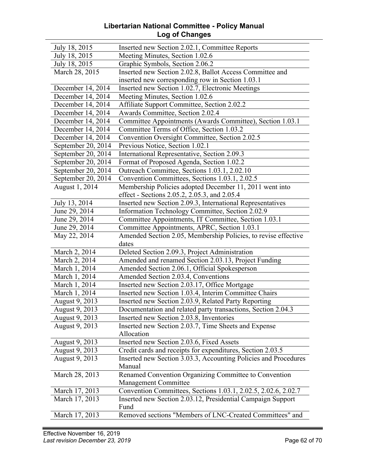#### **Libertarian National Committee - Policy Manual Log of Changes**

| July 18, 2015      | Inserted new Section 2.02.1, Committee Reports                            |
|--------------------|---------------------------------------------------------------------------|
| July 18, 2015      | Meeting Minutes, Section 1.02.6                                           |
| July 18, 2015      | Graphic Symbols, Section 2.06.2                                           |
| March 28, 2015     | Inserted new Section 2.02.8, Ballot Access Committee and                  |
|                    | inserted new corresponding row in Section 1.03.1                          |
| December 14, 2014  | Inserted new Section 1.02.7, Electronic Meetings                          |
| December 14, 2014  | Meeting Minutes, Section 1.02.6                                           |
| December 14, 2014  | Affiliate Support Committee, Section 2.02.2                               |
| December 14, 2014  | Awards Committee, Section 2.02.4                                          |
| December 14, 2014  | Committee Appointments (Awards Committee), Section 1.03.1                 |
| December 14, 2014  | Committee Terms of Office, Section 1.03.2                                 |
| December 14, 2014  | Convention Oversight Committee, Section 2.02.5                            |
| September 20, 2014 | Previous Notice, Section 1.02.1                                           |
| September 20, 2014 | International Representative, Section 2.09.3                              |
| September 20, 2014 | Format of Proposed Agenda, Section 1.02.2                                 |
| September 20, 2014 | Outreach Committee, Sections 1.03.1, 2.02.10                              |
| September 20, 2014 | Convention Committees, Sections 1.03.1, 2.02.5                            |
| August 1, 2014     | Membership Policies adopted December 11, 2011 went into                   |
|                    | effect - Sections 2.05.2, 2.05.3, and 2.05.4                              |
| July 13, 2014      | Inserted new Section 2.09.3, International Representatives                |
| June 29, 2014      | Information Technology Committee, Section 2.02.9                          |
| June 29, 2014      | Committee Appointments, IT Committee, Section 1.03.1                      |
| June 29, 2014      | Committee Appointments, APRC, Section 1.03.1                              |
| May 22, 2014       | Amended Section 2.05, Membership Policies, to revise effective<br>dates   |
| March 2, 2014      | Deleted Section 2.09.3, Project Administration                            |
| March 2, 2014      | Amended and renamed Section 2.03.13, Project Funding                      |
| March 1, 2014      | Amended Section 2.06.1, Official Spokesperson                             |
| March 1, 2014      | Amended Section 2.03.4, Conventions                                       |
| March 1, 2014      | Inserted new Section 2.03.17, Office Mortgage                             |
| March 1, 2014      | Inserted new Section 1.03.4, Interim Committee Chairs                     |
| August 9, 2013     | Inserted new Section 2.03.9, Related Party Reporting                      |
| August 9, 2013     | Documentation and related party transactions, Section 2.04.3              |
| August 9, 2013     | Inserted new Section 2.03.8, Inventories                                  |
| August 9, 2013     | Inserted new Section 2.03.7, Time Sheets and Expense                      |
|                    | Allocation                                                                |
| August 9, 2013     | Inserted new Section 2.03.6, Fixed Assets                                 |
| August 9, 2013     | Credit cards and receipts for expenditures, Section 2.03.5                |
| August 9, 2013     | Inserted new Section 3.03.3, Accounting Policies and Procedures<br>Manual |
| March 28, 2013     | Renamed Convention Organizing Committee to Convention                     |
|                    | <b>Management Committee</b>                                               |
| March 17, 2013     | Convention Committees, Sections 1.03.1, 2.02.5, 2.02.6, 2.02.7            |
| March 17, 2013     | Inserted new Section 2.03.12, Presidential Campaign Support<br>Fund       |
| March 17, 2013     | Removed sections "Members of LNC-Created Committees" and                  |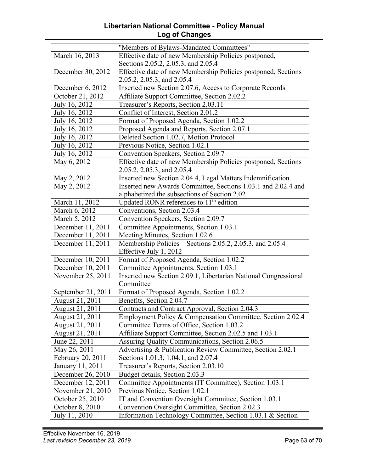#### **Libertarian National Committee - Policy Manual Log of Changes**

|                    | "Members of Bylaws-Mandated Committees"                         |
|--------------------|-----------------------------------------------------------------|
| March 16, 2013     | Effective date of new Membership Policies postponed,            |
|                    | Sections 2.05.2, 2.05.3, and 2.05.4                             |
| December 30, 2012  | Effective date of new Membership Policies postponed, Sections   |
|                    | 2.05.2, 2.05.3, and 2.05.4                                      |
| December 6, 2012   | Inserted new Section 2.07.6, Access to Corporate Records        |
| October 21, 2012   | Affiliate Support Committee, Section 2.02.2                     |
| July 16, 2012      | Treasurer's Reports, Section 2.03.11                            |
| July 16, 2012      | Conflict of Interest, Section 2.01.2                            |
| July 16, 2012      | Format of Proposed Agenda, Section 1.02.2                       |
| July 16, 2012      | Proposed Agenda and Reports, Section 2.07.1                     |
| July 16, 2012      | Deleted Section 1.02.7, Motion Protocol                         |
| July 16, 2012      | Previous Notice, Section 1.02.1                                 |
| July 16, 2012      | Convention Speakers, Section 2.09.7                             |
| May 6, 2012        | Effective date of new Membership Policies postponed, Sections   |
|                    | 2.05.2, 2.05.3, and 2.05.4                                      |
| May 2, 2012        | Inserted new Section 2.04.4, Legal Matters Indemnification      |
| May 2, 2012        | Inserted new Awards Committee, Sections 1.03.1 and 2.02.4 and   |
|                    | alphabetized the subsections of Section 2.02                    |
| March 11, 2012     | Updated RONR references to 11 <sup>th</sup> edition             |
| March 6, 2012      | Conventions, Section 2.03.4                                     |
| March 5, 2012      | Convention Speakers, Section 2.09.7                             |
| December 11, 2011  | Committee Appointments, Section 1.03.1                          |
| December 11, 2011  | Meeting Minutes, Section 1.02.6                                 |
| December 11, 2011  | Membership Policies – Sections 2.05.2, 2.05.3, and $2.05.4$ –   |
|                    | Effective July 1, 2012                                          |
| December 10, 2011  | Format of Proposed Agenda, Section 1.02.2                       |
| December 10, 2011  | Committee Appointments, Section 1.03.1                          |
| November 25, 2011  | Inserted new Section 2.09.1, Libertarian National Congressional |
|                    | Committee                                                       |
| September 21, 2011 | Format of Proposed Agenda, Section 1.02.2                       |
| August 21, 2011    | Benefits, Section 2.04.7                                        |
| August 21, 2011    | Contracts and Contract Approval, Section 2.04.3                 |
| August 21, 2011    | Employment Policy & Compensation Committee, Section 2.02.4      |
| August 21, 2011    | Committee Terms of Office, Section 1.03.2                       |
| August 21, 2011    | Affiliate Support Committee, Section 2.02.5 and 1.03.1          |
| June 22, 2011      | Assuring Quality Communications, Section 2.06.5                 |
| May 26, 2011       | Advertising & Publication Review Committee, Section 2.02.1      |
| February 20, 2011  | Sections 1.01.3, 1.04.1, and 2.07.4                             |
| January 11, 2011   | Treasurer's Reports, Section 2.03.10                            |
| December 26, 2010  | Budget details, Section 2.03.3                                  |
| December 12, 2011  | Committee Appointments (IT Committee), Section 1.03.1           |
| November 21, 2010  | Previous Notice, Section 1.02.1                                 |
| October 25, 2010   | IT and Convention Oversight Committee, Section 1.03.1           |
| October 8, 2010    | Convention Oversight Committee, Section 2.02.3                  |
| July 11, 2010      | Information Technology Committee, Section 1.03.1 & Section      |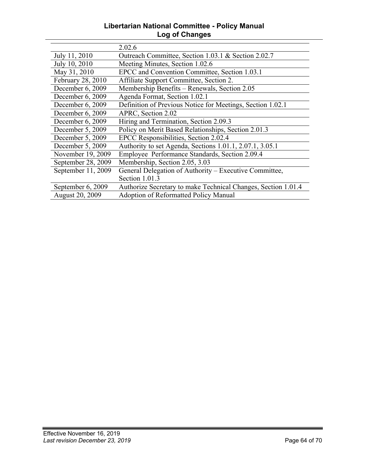#### **Libertarian National Committee - Policy Manual Log of Changes**

|                    | 2.02.6                                                        |
|--------------------|---------------------------------------------------------------|
| July 11, 2010      | Outreach Committee, Section 1.03.1 & Section 2.02.7           |
| July 10, 2010      | Meeting Minutes, Section 1.02.6                               |
| May 31, 2010       | EPCC and Convention Committee, Section 1.03.1                 |
| February 28, 2010  | Affiliate Support Committee, Section 2.                       |
| December 6, 2009   | Membership Benefits - Renewals, Section 2.05                  |
| December 6, 2009   | Agenda Format, Section 1.02.1                                 |
| December 6, 2009   | Definition of Previous Notice for Meetings, Section 1.02.1    |
| December 6, 2009   | APRC, Section 2.02                                            |
| December 6, 2009   | Hiring and Termination, Section 2.09.3                        |
| December 5, 2009   | Policy on Merit Based Relationships, Section 2.01.3           |
| December 5, 2009   | EPCC Responsibilities, Section 2.02.4                         |
| December 5, 2009   | Authority to set Agenda, Sections 1.01.1, 2.07.1, 3.05.1      |
| November 19, 2009  | Employee Performance Standards, Section 2.09.4                |
| September 28, 2009 | Membership, Section 2.05, 3.03                                |
| September 11, 2009 | General Delegation of Authority – Executive Committee,        |
|                    | Section 1.01.3                                                |
| September 6, 2009  | Authorize Secretary to make Technical Changes, Section 1.01.4 |
| August 20, 2009    | <b>Adoption of Reformatted Policy Manual</b>                  |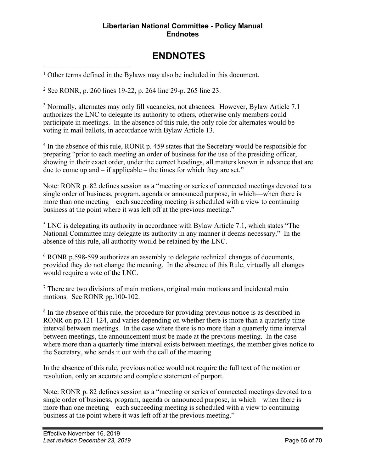#### **Libertarian National Committee - Policy Manual Endnotes**

## **ENDNOTES**

<span id="page-64-0"></span><sup>1</sup> Other terms defined in the Bylaws may also be included in this document.

<sup>2</sup> See RONR, p. 260 lines 19-22, p. 264 line 29-p. 265 line 23.

<sup>3</sup> Normally, alternates may only fill vacancies, not absences. However, Bylaw Article 7.1 authorizes the LNC to delegate its authority to others, otherwise only members could participate in meetings. In the absence of this rule, the only role for alternates would be voting in mail ballots, in accordance with Bylaw Article 13.

<sup>4</sup> In the absence of this rule, RONR p. 459 states that the Secretary would be responsible for preparing "prior to each meeting an order of business for the use of the presiding officer, showing in their exact order, under the correct headings, all matters known in advance that are due to come up and – if applicable – the times for which they are set."

Note: RONR p. 82 defines session as a "meeting or series of connected meetings devoted to a single order of business, program, agenda or announced purpose, in which—when there is more than one meeting—each succeeding meeting is scheduled with a view to continuing business at the point where it was left off at the previous meeting."

<sup>5</sup> LNC is delegating its authority in accordance with Bylaw Article 7.1, which states "The National Committee may delegate its authority in any manner it deems necessary." In the absence of this rule, all authority would be retained by the LNC.

<sup>6</sup> RONR p.598-599 authorizes an assembly to delegate technical changes of documents, provided they do not change the meaning. In the absence of this Rule, virtually all changes would require a vote of the LNC.

<sup>7</sup> There are two divisions of main motions, original main motions and incidental main motions. See RONR pp.100-102.

<sup>8</sup> In the absence of this rule, the procedure for providing previous notice is as described in RONR on pp.121-124, and varies depending on whether there is more than a quarterly time interval between meetings. In the case where there is no more than a quarterly time interval between meetings, the announcement must be made at the previous meeting. In the case where more than a quarterly time interval exists between meetings, the member gives notice to the Secretary, who sends it out with the call of the meeting.

In the absence of this rule, previous notice would not require the full text of the motion or resolution, only an accurate and complete statement of purport.

Note: RONR p. 82 defines session as a "meeting or series of connected meetings devoted to a single order of business, program, agenda or announced purpose, in which—when there is more than one meeting—each succeeding meeting is scheduled with a view to continuing business at the point where it was left off at the previous meeting."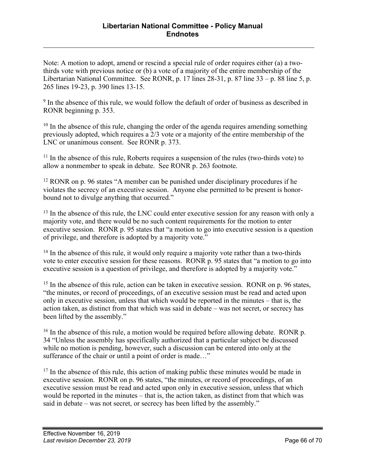Note: A motion to adopt, amend or rescind a special rule of order requires either (a) a twothirds vote with previous notice or (b) a vote of a majority of the entire membership of the Libertarian National Committee. See RONR, p. 17 lines 28-31, p. 87 line 33 – p. 88 line 5, p. 265 lines 19-23, p. 390 lines 13-15.

<sup>9</sup> In the absence of this rule, we would follow the default of order of business as described in RONR beginning p. 353.

 $10$  In the absence of this rule, changing the order of the agenda requires amending something previously adopted, which requires a 2/3 vote or a majority of the entire membership of the LNC or unanimous consent. See RONR p. 373.

<sup>11</sup> In the absence of this rule, Roberts requires a suspension of the rules (two-thirds vote) to allow a nonmember to speak in debate. See RONR p. 263 footnote.

<sup>12</sup> RONR on p. 96 states "A member can be punished under disciplinary procedures if he violates the secrecy of an executive session. Anyone else permitted to be present is honorbound not to divulge anything that occurred."

<sup>13</sup> In the absence of this rule, the LNC could enter executive session for any reason with only a majority vote, and there would be no such content requirements for the motion to enter executive session. RONR p. 95 states that "a motion to go into executive session is a question of privilege, and therefore is adopted by a majority vote."

<sup>14</sup> In the absence of this rule, it would only require a majority vote rather than a two-thirds vote to enter executive session for these reasons. RONR p. 95 states that "a motion to go into executive session is a question of privilege, and therefore is adopted by a majority vote."

<sup>15</sup> In the absence of this rule, action can be taken in executive session. RONR on p. 96 states, "the minutes, or record of proceedings, of an executive session must be read and acted upon only in executive session, unless that which would be reported in the minutes – that is, the action taken, as distinct from that which was said in debate – was not secret, or secrecy has been lifted by the assembly."

 $16$  In the absence of this rule, a motion would be required before allowing debate. RONR p. 34 "Unless the assembly has specifically authorized that a particular subject be discussed while no motion is pending, however, such a discussion can be entered into only at the sufferance of the chair or until a point of order is made…"

 $17$  In the absence of this rule, this action of making public these minutes would be made in executive session. RONR on p. 96 states, "the minutes, or record of proceedings, of an executive session must be read and acted upon only in executive session, unless that which would be reported in the minutes – that is, the action taken, as distinct from that which was said in debate – was not secret, or secrecy has been lifted by the assembly."

 $\overline{a}$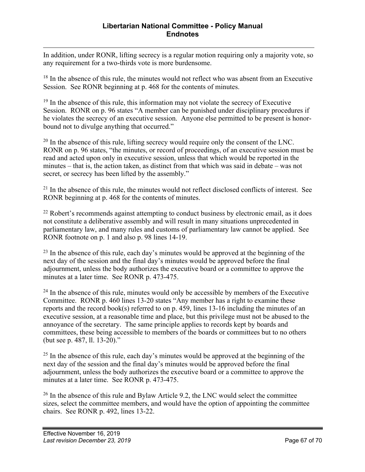$\overline{a}$ In addition, under RONR, lifting secrecy is a regular motion requiring only a majority vote, so any requirement for a two-thirds vote is more burdensome.

 $18$  In the absence of this rule, the minutes would not reflect who was absent from an Executive Session. See RONR beginning at p. 468 for the contents of minutes.

 $19$  In the absence of this rule, this information may not violate the secrecy of Executive Session. RONR on p. 96 states "A member can be punished under disciplinary procedures if he violates the secrecy of an executive session. Anyone else permitted to be present is honorbound not to divulge anything that occurred."

 $20$  In the absence of this rule, lifting secrecy would require only the consent of the LNC. RONR on p. 96 states, "the minutes, or record of proceedings, of an executive session must be read and acted upon only in executive session, unless that which would be reported in the minutes – that is, the action taken, as distinct from that which was said in debate – was not secret, or secrecy has been lifted by the assembly."

<sup>21</sup> In the absence of this rule, the minutes would not reflect disclosed conflicts of interest. See RONR beginning at p. 468 for the contents of minutes.

 $22$  Robert's recommends against attempting to conduct business by electronic email, as it does not constitute a deliberative assembly and will result in many situations unprecedented in parliamentary law, and many rules and customs of parliamentary law cannot be applied. See RONR footnote on p. 1 and also p. 98 lines 14-19.

 $^{23}$  In the absence of this rule, each day's minutes would be approved at the beginning of the next day of the session and the final day's minutes would be approved before the final adjournment, unless the body authorizes the executive board or a committee to approve the minutes at a later time. See RONR p. 473-475.

 $24$  In the absence of this rule, minutes would only be accessible by members of the Executive Committee. RONR p. 460 lines 13-20 states "Any member has a right to examine these reports and the record book(s) referred to on p. 459, lines 13-16 including the minutes of an executive session, at a reasonable time and place, but this privilege must not be abused to the annoyance of the secretary. The same principle applies to records kept by boards and committees, these being accessible to members of the boards or committees but to no others (but see p. 487, ll. 13-20)."

<sup>25</sup> In the absence of this rule, each day's minutes would be approved at the beginning of the next day of the session and the final day's minutes would be approved before the final adjournment, unless the body authorizes the executive board or a committee to approve the minutes at a later time. See RONR p. 473-475.

<sup>26</sup> In the absence of this rule and Bylaw Article 9.2, the LNC would select the committee sizes, select the committee members, and would have the option of appointing the committee chairs. See RONR p. 492, lines 13-22.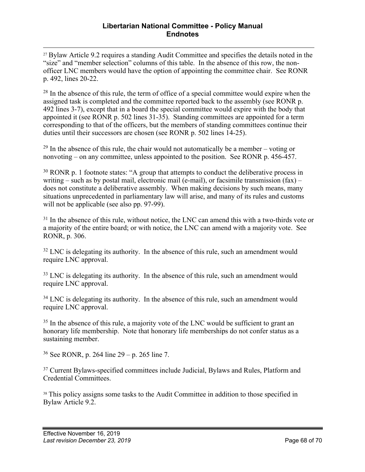<sup>27</sup> Bylaw Article 9.2 requires a standing Audit Committee and specifies the details noted in the "size" and "member selection" columns of this table. In the absence of this row, the nonofficer LNC members would have the option of appointing the committee chair. See RONR p. 492, lines 20-22.

 $28$  In the absence of this rule, the term of office of a special committee would expire when the assigned task is completed and the committee reported back to the assembly (see RONR p. 492 lines 3-7), except that in a board the special committee would expire with the body that appointed it (see RONR p. 502 lines 31-35). Standing committees are appointed for a term corresponding to that of the officers, but the members of standing committees continue their duties until their successors are chosen (see RONR p. 502 lines 14-25).

 $29$  In the absence of this rule, the chair would not automatically be a member – voting or nonvoting – on any committee, unless appointed to the position. See RONR p. 456-457.

 $30$  RONR p. 1 footnote states: "A group that attempts to conduct the deliberative process in writing – such as by postal mail, electronic mail (e-mail), or facsimile transmission  $(fax)$  – does not constitute a deliberative assembly. When making decisions by such means, many situations unprecedented in parliamentary law will arise, and many of its rules and customs will not be applicable (see also pp. 97-99).

 $31$  In the absence of this rule, without notice, the LNC can amend this with a two-thirds vote or a majority of the entire board; or with notice, the LNC can amend with a majority vote. See RONR, p. 306.

 $32$  LNC is delegating its authority. In the absence of this rule, such an amendment would require LNC approval.

<sup>33</sup> LNC is delegating its authority. In the absence of this rule, such an amendment would require LNC approval.

 $34$  LNC is delegating its authority. In the absence of this rule, such an amendment would require LNC approval.

<sup>35</sup> In the absence of this rule, a majority vote of the LNC would be sufficient to grant an honorary life membership. Note that honorary life memberships do not confer status as a sustaining member.

<sup>36</sup> See RONR, p. 264 line 29 – p. 265 line 7.

<sup>37</sup> Current Bylaws-specified committees include Judicial, Bylaws and Rules, Platform and Credential Committees.

<sup>38</sup> This policy assigns some tasks to the Audit Committee in addition to those specified in Bylaw Article 9.2.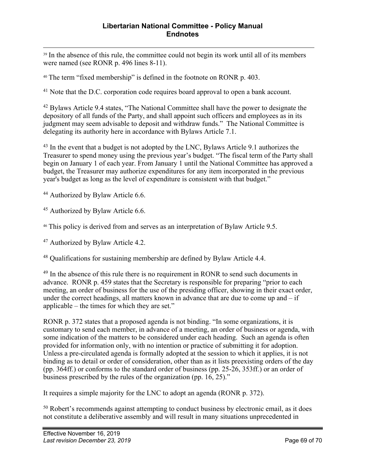<sup>39</sup> In the absence of this rule, the committee could not begin its work until all of its members were named (see RONR p. 496 lines 8-11).

<sup>40</sup> The term "fixed membership" is defined in the footnote on RONR p. 403.

<sup>41</sup> Note that the D.C. corporation code requires board approval to open a bank account.

<sup>42</sup> Bylaws Article 9.4 states, "The National Committee shall have the power to designate the depository of all funds of the Party, and shall appoint such officers and employees as in its judgment may seem advisable to deposit and withdraw funds." The National Committee is delegating its authority here in accordance with Bylaws Article 7.1.

<sup>43</sup> In the event that a budget is not adopted by the LNC, Bylaws Article 9.1 authorizes the Treasurer to spend money using the previous year's budget. "The fiscal term of the Party shall begin on January 1 of each year. From January 1 until the National Committee has approved a budget, the Treasurer may authorize expenditures for any item incorporated in the previous year's budget as long as the level of expenditure is consistent with that budget."

<sup>44</sup> Authorized by Bylaw Article 6.6.

<sup>45</sup> Authorized by Bylaw Article 6.6.

<sup>46</sup> This policy is derived from and serves as an interpretation of Bylaw Article 9.5.

<sup>47</sup> Authorized by Bylaw Article 4.2.

<sup>48</sup> Qualifications for sustaining membership are defined by Bylaw Article 4.4.

<sup>49</sup> In the absence of this rule there is no requirement in RONR to send such documents in advance. RONR p. 459 states that the Secretary is responsible for preparing "prior to each meeting, an order of business for the use of the presiding officer, showing in their exact order, under the correct headings, all matters known in advance that are due to come up and – if applicable – the times for which they are set."

RONR p. 372 states that a proposed agenda is not binding. "In some organizations, it is customary to send each member, in advance of a meeting, an order of business or agenda, with some indication of the matters to be considered under each heading. Such an agenda is often provided for information only, with no intention or practice of submitting it for adoption. Unless a pre-circulated agenda is formally adopted at the session to which it applies, it is not binding as to detail or order of consideration, other than as it lists preexisting orders of the day (pp. 364ff.) or conforms to the standard order of business (pp. 25-26, 353ff.) or an order of business prescribed by the rules of the organization (pp. 16, 25)."

It requires a simple majority for the LNC to adopt an agenda (RONR p. 372).

<sup>50</sup> Robert's recommends against attempting to conduct business by electronic email, as it does not constitute a deliberative assembly and will result in many situations unprecedented in